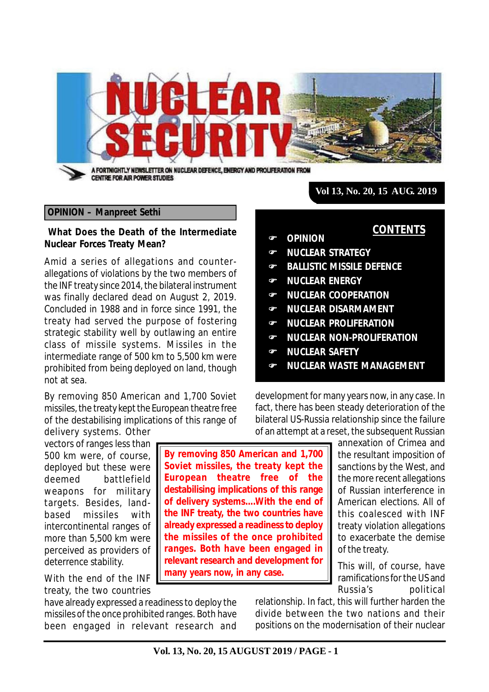

#### **OPINION – Manpreet Sethi**

#### **What Does the Death of the Intermediate Nuclear Forces Treaty Mean?**

Amid a series of allegations and counterallegations of violations by the two members of the INF treaty since 2014, the bilateral instrument was finally declared dead on August 2, 2019. Concluded in 1988 and in force since 1991, the treaty had served the purpose of fostering strategic stability well by outlawing an entire class of missile systems. Missiles in the intermediate range of 500 km to 5,500 km were prohibited from being deployed on land, though not at sea.

By removing 850 American and 1,700 Soviet missiles, the treaty kept the European theatre free of the destabilising implications of this range of

delivery systems. Other vectors of ranges less than 500 km were, of course, deployed but these were deemed battlefield weapons for military targets. Besides, landbased missiles with intercontinental ranges of more than 5,500 km were perceived as providers of deterrence stability.

With the end of the INF treaty, the two countries

have already expressed a readiness to deploy the missiles of the once prohibited ranges. Both have been engaged in relevant research and

**By removing 850 American and 1,700 Soviet missiles, the treaty kept the European theatre free of the destabilising implications of this range of delivery systems....With the end of the INF treaty, the two countries have already expressed a readiness to deploy the missiles of the once prohibited ranges. Both have been engaged in relevant research and development for many years now, in any case.**

> relationship. In fact, this will further harden the divide between the two nations and their positions on the modernisation of their nuclear

**Vol 13, No. 20, 15 AUG. 2019**

**CONTENTS**

- **OPINION**
- **NUCLEAR STRATEGY**
- **BALLISTIC MISSILE DEFENCE**
- **NUCLEAR ENERGY**
- **NUCLEAR COOPERATION**
- **NUCLEAR DISARMAMENT**
- **NUCLEAR PROLIFERATION**
- **NUCLEAR NON-PROLIFERATION**
- **NUCLEAR SAFETY**
- **NUCLEAR WASTE MANAGEMENT**

development for many years now, in any case. In fact, there has been steady deterioration of the bilateral US-Russia relationship since the failure of an attempt at a reset, the subsequent Russian

> annexation of Crimea and the resultant imposition of sanctions by the West, and the more recent allegations of Russian interference in American elections. All of this coalesced with INF treaty violation allegations to exacerbate the demise of the treaty.

This will, of course, have ramifications for the US and Russia's political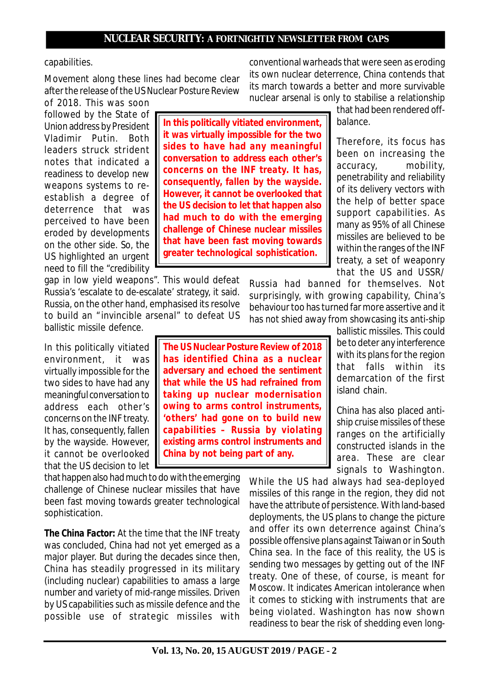**Vol. 13, No. 20, 15 AUGUST 2019 / PAGE - 2**

**In this politically vitiated environment, it was virtually impossible for the two sides to have had any meaningful conversation to address each other's concerns on the INF treaty. It has, consequently, fallen by the wayside. However, it cannot be overlooked that the US decision to let that happen also had much to do with the emerging challenge of Chinese nuclear missiles that have been fast moving towards greater technological sophistication.**

# capabilities.

Movement along these lines had become clear after the release of the US Nuclear Posture Review

of 2018. This was soon followed by the State of Union address by President Vladimir Putin. Both leaders struck strident notes that indicated a readiness to develop new weapons systems to reestablish a degree of deterrence that was perceived to have been eroded by developments on the other side. So, the US highlighted an urgent need to fill the "credibility

gap in low yield weapons". This would defeat Russia's 'escalate to de-escalate' strategy, it said. Russia, on the other hand, emphasised its resolve to build an "invincible arsenal" to defeat US ballistic missile defence.

In this politically vitiated environment, it was virtually impossible for the two sides to have had any meaningful conversation to address each other's concerns on the INF treaty. It has, consequently, fallen by the wayside. However, it cannot be overlooked that the US decision to let

that happen also had much to do with the emerging challenge of Chinese nuclear missiles that have been fast moving towards greater technological sophistication.

*The China Factor***:** At the time that the INF treaty was concluded, China had not yet emerged as a major player. But during the decades since then, China has steadily progressed in its military (including nuclear) capabilities to amass a large number and variety of mid-range missiles. Driven by US capabilities such as missile defence and the possible use of strategic missiles with conventional warheads that were seen as eroding its own nuclear deterrence, China contends that its march towards a better and more survivable nuclear arsenal is only to stabilise a relationship

> that had been rendered offbalance.

Therefore, its focus has been on increasing the accuracy, mobility, penetrability and reliability of its delivery vectors with the help of better space support capabilities. As many as 95% of all Chinese missiles are believed to be within the ranges of the INF treaty, a set of weaponry that the US and USSR/

signals to Washington.

Russia had banned for themselves. Not surprisingly, with growing capability, China's behaviour too has turned far more assertive and it has not shied away from showcasing its anti-ship

While the US had always had sea-deployed missiles of this range in the region, they did not have the attribute of persistence. With land-based deployments, the US plans to change the picture and offer its own deterrence against China's possible offensive plans against Taiwan or in South China sea. In the face of this reality, the US is sending two messages by getting out of the INF treaty. One of these, of course, is meant for Moscow. It indicates American intolerance when it comes to sticking with instruments that are

**The US Nuclear Posture Review of 2018 has identified China as a nuclear adversary and echoed the sentiment that while the US had refrained from taking up nuclear modernisation owing to arms control instruments, 'others' had gone on to build new capabilities – Russia by violating existing arms control instruments and China by not being part of any.**

with its plans for the region that falls within its demarcation of the first island chain. China has also placed antiship cruise missiles of these

# ballistic missiles. This could be to deter any interference ranges on the artificially constructed islands in the area. These are clear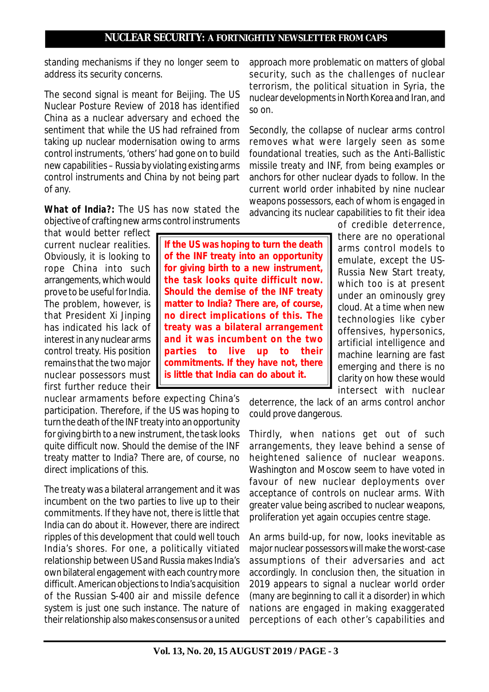standing mechanisms if they no longer seem to address its security concerns.

The second signal is meant for Beijing. The US Nuclear Posture Review of 2018 has identified China as a nuclear adversary and echoed the sentiment that while the US had refrained from taking up nuclear modernisation owing to arms control instruments, 'others' had gone on to build new capabilities – Russia by violating existing arms control instruments and China by not being part of any.

*What of India?:* The US has now stated the objective of crafting new arms control instruments

that would better reflect current nuclear realities. Obviously, it is looking to rope China into such arrangements, which would prove to be useful for India. The problem, however, is that President Xi Jinping has indicated his lack of interest in any nuclear arms control treaty. His position remains that the two major nuclear possessors must first further reduce their

nuclear armaments before expecting China's participation. Therefore, if the US was hoping to turn the death of the INF treaty into an opportunity for giving birth to a new instrument, the task looks quite difficult now. Should the demise of the INF treaty matter to India? There are, of course, no direct implications of this.

The treaty was a bilateral arrangement and it was incumbent on the two parties to live up to their commitments. If they have not, there is little that India can do about it. However, there are indirect ripples of this development that could well touch India's shores. For one, a politically vitiated relationship between US and Russia makes India's own bilateral engagement with each country more difficult. American objections to India's acquisition of the Russian S-400 air and missile defence system is just one such instance. The nature of their relationship also makes consensus or a united

**If the US was hoping to turn the death of the INF treaty into an opportunity for giving birth to a new instrument, the task looks quite difficult now. Should the demise of the INF treaty matter to India? There are, of course, no direct implications of this. The treaty was a bilateral arrangement and it was incumbent on the two parties to live up to their commitments. If they have not, there is little that India can do about it.**

approach more problematic on matters of global security, such as the challenges of nuclear terrorism, the political situation in Syria, the nuclear developments in North Korea and Iran, and so on.

Secondly, the collapse of nuclear arms control removes what were largely seen as some foundational treaties, such as the Anti-Ballistic missile treaty and INF, from being examples or anchors for other nuclear dyads to follow. In the current world order inhabited by nine nuclear weapons possessors, each of whom is engaged in advancing its nuclear capabilities to fit their idea

> of credible deterrence, there are no operational arms control models to emulate, except the US-Russia New Start treaty, which too is at present under an ominously grey cloud. At a time when new technologies like cyber offensives, hypersonics, artificial intelligence and machine learning are fast emerging and there is no clarity on how these would intersect with nuclear

deterrence, the lack of an arms control anchor could prove dangerous.

Thirdly, when nations get out of such arrangements, they leave behind a sense of heightened salience of nuclear weapons. Washington and Moscow seem to have voted in favour of new nuclear deployments over acceptance of controls on nuclear arms. With greater value being ascribed to nuclear weapons, proliferation yet again occupies centre stage.

An arms build-up, for now, looks inevitable as major nuclear possessors will make the worst-case assumptions of their adversaries and act accordingly. In conclusion then, the situation in 2019 appears to signal a nuclear world order (many are beginning to call it a disorder) in which nations are engaged in making exaggerated perceptions of each other's capabilities and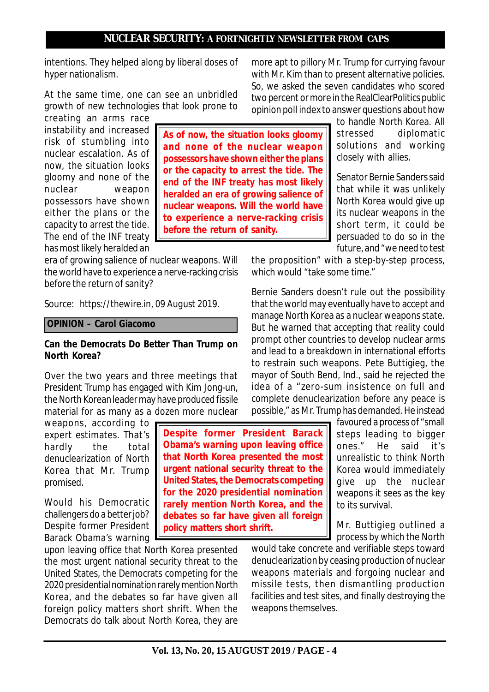**As of now, the situation looks gloomy and none of the nuclear weapon possessors have shown either the plans or the capacity to arrest the tide. The end of the INF treaty has most likely heralded an era of growing salience of nuclear weapons. Will the world have to experience a nerve-racking crisis**

**before the return of sanity.**

intentions. They helped along by liberal doses of hyper nationalism.

At the same time, one can see an unbridled growth of new technologies that look prone to

creating an arms race instability and increased risk of stumbling into nuclear escalation. As of now, the situation looks gloomy and none of the nuclear weapon possessors have shown either the plans or the capacity to arrest the tide. The end of the INF treaty has most likely heralded an

era of growing salience of nuclear weapons. Will the world have to experience a nerve-racking crisis before the return of sanity?

*Source: https://thewire.in, 09 August 2019.*

#### **OPINION – Carol Giacomo**

#### **Can the Democrats Do Better Than Trump on North Korea?**

Over the two years and three meetings that President Trump has engaged with Kim Jong-un, the North Korean leader may have produced fissile material for as many as a dozen more nuclear

weapons, according to expert estimates. That's hardly the total denuclearization of North Korea that Mr. Trump promised.

Would his Democratic challengers do a better job? Despite former President Barack Obama's warning

upon leaving office that North Korea presented the most urgent national security threat to the United States, the Democrats competing for the 2020 presidential nomination rarely mention North Korea, and the debates so far have given all foreign policy matters short shrift. When the Democrats do talk about North Korea, they are

more apt to pillory Mr. Trump for currying favour with Mr. Kim than to present alternative policies. So, we asked the seven candidates who scored two percent or more in the RealClearPolitics public opinion poll index to answer questions about how

> to handle North Korea. All stressed diplomatic solutions and working closely with allies.

> Senator Bernie Sanders said that while it was unlikely North Korea would give up its nuclear weapons in the short term, it could be persuaded to do so in the future, and "we need to test

the proposition" with a step-by-step process, which would "take some time."

Bernie Sanders doesn't rule out the possibility that the world may eventually have to accept and manage North Korea as a nuclear weapons state. But he warned that accepting that reality could prompt other countries to develop nuclear arms and lead to a breakdown in international efforts to restrain such weapons. Pete Buttigieg, the mayor of South Bend, Ind., said he rejected the idea of a "zero-sum insistence on full and complete denuclearization before any peace is possible," as Mr. Trump has demanded. He instead

> favoured a process of "small steps leading to bigger ones." He said it's unrealistic to think North Korea would immediately give up the nuclear weapons it sees as the key to its survival.

Mr. Buttigieg outlined a process by which the North

would take concrete and verifiable steps toward denuclearization by ceasing production of nuclear weapons materials and forgoing nuclear and missile tests, then dismantling production facilities and test sites, and finally destroying the weapons themselves.

**Despite former President Barack Obama's warning upon leaving office that North Korea presented the most urgent national security threat to the United States, the Democrats competing for the 2020 presidential nomination rarely mention North Korea, and the debates so far have given all foreign policy matters short shrift.**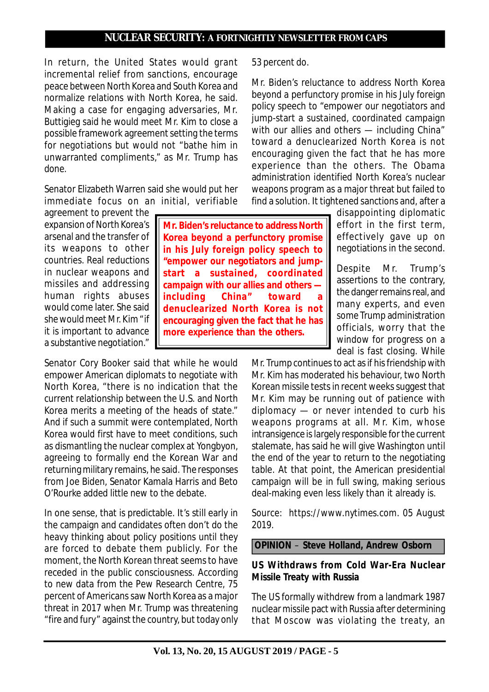In return, the United States would grant incremental relief from sanctions, encourage peace between North Korea and South Korea and normalize relations with North Korea, he said. Making a case for engaging adversaries, Mr. Buttigieg said he would meet Mr. Kim to close a possible framework agreement setting the terms for negotiations but would not "bathe him in unwarranted compliments," as Mr. Trump has done.

Senator Elizabeth Warren said she would put her immediate focus on an initial, verifiable

agreement to prevent the expansion of North Korea's arsenal and the transfer of its weapons to other countries. Real reductions in nuclear weapons and missiles and addressing human rights abuses would come later. She said she would meet Mr. Kim "if it is important to advance a substantive negotiation."

Senator Cory Booker said that while he would empower American diplomats to negotiate with North Korea, "there is no indication that the current relationship between the U.S. and North Korea merits a meeting of the heads of state." And if such a summit were contemplated, North Korea would first have to meet conditions, such as dismantling the nuclear complex at Yongbyon, agreeing to formally end the Korean War and returning military remains, he said. The responses from Joe Biden, Senator Kamala Harris and Beto O'Rourke added little new to the debate.

In one sense, that is predictable. It's still early in the campaign and candidates often don't do the heavy thinking about policy positions until they are forced to debate them publicly. For the moment, the North Korean threat seems to have receded in the public consciousness. According to new data from the Pew Research Centre, 75 percent of Americans saw North Korea as a major threat in 2017 when Mr. Trump was threatening "fire and fury" against the country, but today only

**Mr. Biden's reluctance to address North Korea beyond a perfunctory promise in his July foreign policy speech to "empower our negotiators and jumpstart a sustained, coordinated campaign with our allies and others including China"** toward **denuclearized North Korea is not encouraging given the fact that he has more experience than the others.**

53 percent do.

Mr. Biden's reluctance to address North Korea beyond a perfunctory promise in his July foreign policy speech to "empower our negotiators and jump-start a sustained, coordinated campaign with our allies and others - including China" toward a denuclearized North Korea is not encouraging given the fact that he has more experience than the others. The Obama administration identified North Korea's nuclear weapons program as a major threat but failed to find a solution. It tightened sanctions and, after a

> disappointing diplomatic effort in the first term, effectively gave up on negotiations in the second.

> Despite Mr. Trump's assertions to the contrary, the danger remains real, and many experts, and even some Trump administration officials, worry that the window for progress on a deal is fast closing. While

Mr. Trump continues to act as if his friendship with Mr. Kim has moderated his behaviour, two North Korean missile tests in recent weeks suggest that Mr. Kim may be running out of patience with diplomacy — or never intended to curb his weapons programs at all. Mr. Kim, whose intransigence is largely responsible for the current stalemate, has said he will give Washington until the end of the year to return to the negotiating table. At that point, the American presidential campaign will be in full swing, making serious deal-making even less likely than it already is.

*Source: https://www.nytimes.com. 05 August 2019.*

 **OPINION** – **Steve Holland, Andrew Osborn**

# **US Withdraws from Cold War-Era Nuclear Missile Treaty with Russia**

The US formally withdrew from a landmark 1987 nuclear missile pact with Russia after determining that Moscow was violating the treaty, an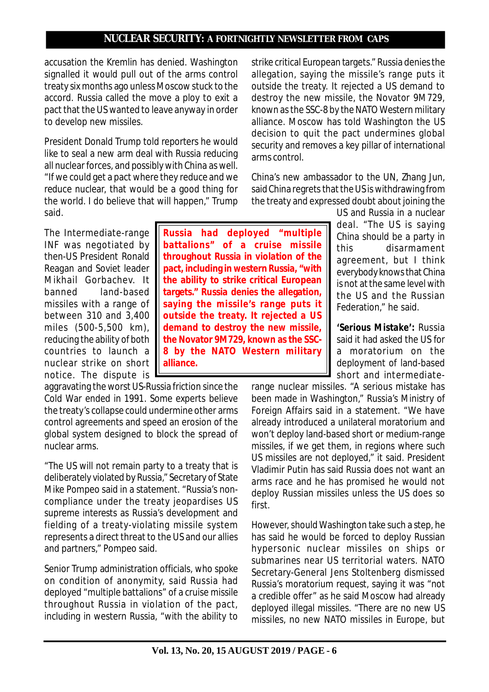accusation the Kremlin has denied. Washington signalled it would pull out of the arms control treaty six months ago unless Moscow stuck to the accord. Russia called the move a ploy to exit a pact that the US wanted to leave anyway in order to develop new missiles.

President Donald Trump told reporters he would like to seal a new arm deal with Russia reducing all nuclear forces, and possibly with China as well. "If we could get a pact where they reduce and we reduce nuclear, that would be a good thing for the world. I do believe that will happen," Trump said.

The Intermediate-range INF was negotiated by then-US President Ronald Reagan and Soviet leader Mikhail Gorbachev. It banned land-based missiles with a range of between 310 and 3,400 miles (500-5,500 km), reducing the ability of both countries to launch a nuclear strike on short notice. The dispute is

aggravating the worst US-Russia friction since the Cold War ended in 1991. Some experts believe the treaty's collapse could undermine other arms control agreements and speed an erosion of the global system designed to block the spread of nuclear arms.

"The US will not remain party to a treaty that is deliberately violated by Russia," Secretary of State Mike Pompeo said in a statement. "Russia's noncompliance under the treaty jeopardises US supreme interests as Russia's development and fielding of a treaty-violating missile system represents a direct threat to the US and our allies and partners," Pompeo said.

Senior Trump administration officials, who spoke on condition of anonymity, said Russia had deployed "multiple battalions" of a cruise missile throughout Russia in violation of the pact, including in western Russia, "with the ability to

strike critical European targets." Russia denies the allegation, saying the missile's range puts it outside the treaty. It rejected a US demand to destroy the new missile, the Novator 9M729, known as the SSC-8 by the NATO Western military alliance. Moscow has told Washington the US decision to quit the pact undermines global security and removes a key pillar of international arms control.

China's new ambassador to the UN, Zhang Jun, said China regrets that the US is withdrawing from the treaty and expressed doubt about joining the

**Russia had deployed "multiple battalions" of a cruise missile throughout Russia in violation of the pact, including in western Russia, "with the ability to strike critical European targets." Russia denies the allegation, saying the missile's range puts it outside the treaty. It rejected a US demand to destroy the new missile, the Novator 9M729, known as the SSC-8 by the NATO Western military alliance.**

US and Russia in a nuclear deal. "The US is saying China should be a party in this disarmament agreement, but I think everybody knows that China is not at the same level with the US and the Russian Federation," he said.

*'Serious Mistake':* Russia said it had asked the US for a moratorium on the deployment of land-based short and intermediate-

range nuclear missiles. "A serious mistake has been made in Washington," Russia's Ministry of Foreign Affairs said in a statement. "We have already introduced a unilateral moratorium and won't deploy land-based short or medium-range missiles, if we get them, in regions where such US missiles are not deployed," it said. President Vladimir Putin has said Russia does not want an arms race and he has promised he would not deploy Russian missiles unless the US does so first.

However, should Washington take such a step, he has said he would be forced to deploy Russian hypersonic nuclear missiles on ships or submarines near US territorial waters. NATO Secretary-General Jens Stoltenberg dismissed Russia's moratorium request, saying it was "not a credible offer" as he said Moscow had already deployed illegal missiles. "There are no new US missiles, no new NATO missiles in Europe, but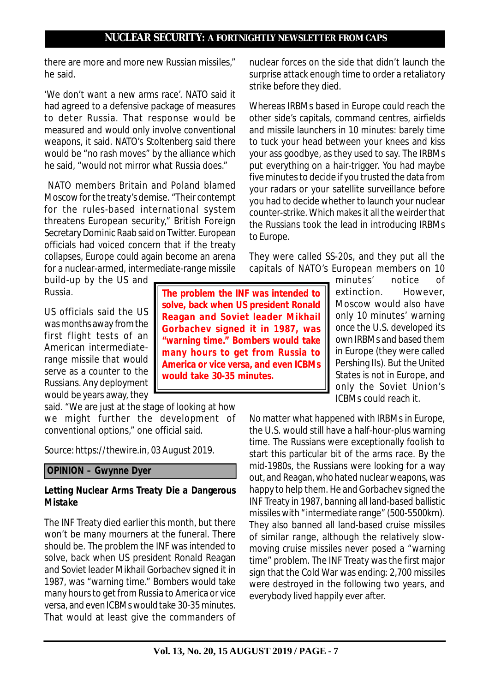there are more and more new Russian missiles," he said.

'We don't want a new arms race'. NATO said it had agreed to a defensive package of measures to deter Russia. That response would be measured and would only involve conventional weapons, it said. NATO's Stoltenberg said there would be "no rash moves" by the alliance which he said, "would not mirror what Russia does."

 NATO members Britain and Poland blamed Moscow for the treaty's demise. "Their contempt for the rules-based international system threatens European security," British Foreign Secretary Dominic Raab said on Twitter. European officials had voiced concern that if the treaty collapses, Europe could again become an arena for a nuclear-armed, intermediate-range missile

build-up by the US and Russia.

US officials said the US was months away from the first flight tests of an American intermediaterange missile that would serve as a counter to the Russians. Any deployment would be years away, they

said. "We are just at the stage of looking at how we might further the development of conventional options," one official said.

*Source: https://thewire.in, 03 August 2019.*

#### **OPINION – Gwynne Dyer**

#### **Letting Nuclear Arms Treaty Die a Dangerous Mistake**

The INF Treaty died earlier this month, but there won't be many mourners at the funeral. There should be. The problem the INF was intended to solve, back when US president Ronald Reagan and Soviet leader Mikhail Gorbachev signed it in 1987, was "warning time." Bombers would take many hours to get from Russia to America or vice versa, and even ICBMs would take 30-35 minutes. That would at least give the commanders of

**The problem the INF was intended to solve, back when US president Ronald Reagan and Soviet leader Mikhail Gorbachev signed it in 1987, was "warning time." Bombers would take many hours to get from Russia to America or vice versa, and even ICBMs would take 30-35 minutes.**

nuclear forces on the side that didn't launch the surprise attack enough time to order a retaliatory strike before they died.

Whereas IRBMs based in Europe could reach the other side's capitals, command centres, airfields and missile launchers in 10 minutes: barely time to tuck your head between your knees and kiss your ass goodbye, as they used to say. The IRBMs put everything on a hair-trigger. You had maybe five minutes to decide if you trusted the data from your radars or your satellite surveillance before you had to decide whether to launch your nuclear counter-strike. Which makes it all the weirder that the Russians took the lead in introducing IRBMs to Europe.

They were called SS-20s, and they put all the capitals of NATO's European members on 10

> minutes' notice of extinction. However, Moscow would also have only 10 minutes' warning once the U.S. developed its own IRBMs and based them in Europe (they were called Pershing IIs). But the United States is not in Europe, and only the Soviet Union's ICBMs could reach it.

No matter what happened with IRBMs in Europe, the U.S. would still have a half-hour-plus warning time. The Russians were exceptionally foolish to start this particular bit of the arms race. By the mid-1980s, the Russians were looking for a way out, and Reagan, who hated nuclear weapons, was happy to help them. He and Gorbachev signed the INF Treaty in 1987, banning all land-based ballistic missiles with "intermediate range" (500-5500km). They also banned all land-based cruise missiles of similar range, although the relatively slowmoving cruise missiles never posed a "warning time" problem. The INF Treaty was the first major sign that the Cold War was ending: 2,700 missiles were destroyed in the following two years, and everybody lived happily ever after.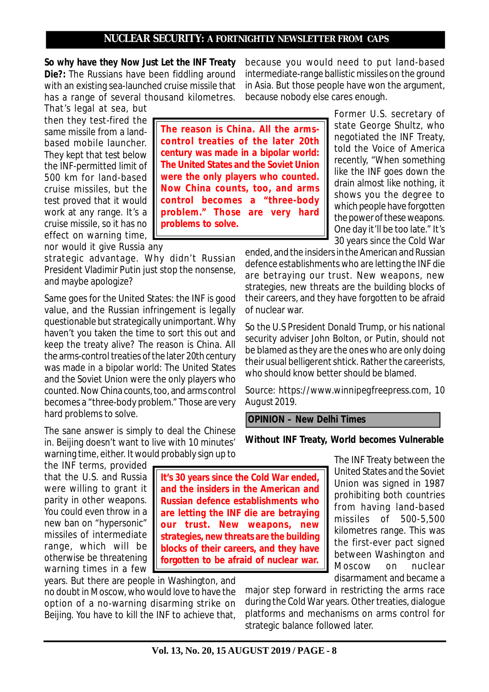**The reason is China. All the armscontrol treaties of the later 20th century was made in a bipolar world: The United States and the Soviet Union were the only players who counted. Now China counts, too, and arms control becomes a "three-body problem." Those are very hard**

*So why have they Now Just Let the INF Treaty* **Die?:** The Russians have been fiddling around with an existing sea-launched cruise missile that has a range of several thousand kilometres.

That's legal at sea, but then they test-fired the same missile from a landbased mobile launcher. They kept that test below the INF-permitted limit of 500 km for land-based cruise missiles, but the test proved that it would work at any range. It's a cruise missile, so it has no effect on warning time,

nor would it give Russia any

strategic advantage. Why didn't Russian President Vladimir Putin just stop the nonsense, and maybe apologize?

Same goes for the United States: the INF is good value, and the Russian infringement is legally questionable but strategically unimportant. Why haven't you taken the time to sort this out and keep the treaty alive? The reason is China. All the arms-control treaties of the later 20th century was made in a bipolar world: The United States and the Soviet Union were the only players who counted. Now China counts, too, and arms control becomes a "three-body problem." Those are very hard problems to solve.

The sane answer is simply to deal the Chinese in. Beijing doesn't want to live with 10 minutes' warning time, either. It would probably sign up to

the INF terms, provided that the U.S. and Russia were willing to grant it parity in other weapons. You could even throw in a new ban on "hypersonic" missiles of intermediate range, which will be otherwise be threatening warning times in a few

years. But there are people in Washington, and no doubt in Moscow, who would love to have the option of a no-warning disarming strike on Beijing. You have to kill the INF to achieve that,

because you would need to put land-based intermediate-range ballistic missiles on the ground in Asia. But those people have won the argument, because nobody else cares enough.

> Former U.S. secretary of state George Shultz, who negotiated the INF Treaty, told the Voice of America recently, "When something like the INF goes down the drain almost like nothing, it shows you the degree to which people have forgotten the power of these weapons. One day it'll be too late." It's 30 years since the Cold War

ended, and the insiders in the American and Russian defence establishments who are letting the INF die are betraying our trust. New weapons, new strategies, new threats are the building blocks of their careers, and they have forgotten to be afraid

So the U.S President Donald Trump, or his national security adviser John Bolton, or Putin, should not be blamed as they are the ones who are only doing their usual belligerent shtick. Rather the careerists, who should know better should be blamed.

*Source: https://www.winnipegfreepress.com, 10 August 2019.*

 **OPINION – New Delhi Times**

**Without INF Treaty, World becomes Vulnerable**

The INF Treaty between the United States and the Soviet Union was signed in 1987 prohibiting both countries from having land-based missiles of 500-5,500 kilometres range. This was the first-ever pact signed between Washington and Moscow on nuclear disarmament and became a

major step forward in restricting the arms race during the Cold War years. Other treaties, dialogue platforms and mechanisms on arms control for strategic balance followed later.

**It's 30 years since the Cold War ended, and the insiders in the American and Russian defence establishments who are letting the INF die are betraying our trust. New weapons, new strategies, new threats are the building blocks of their careers, and they have forgotten to be afraid of nuclear war.**



**problems to solve.**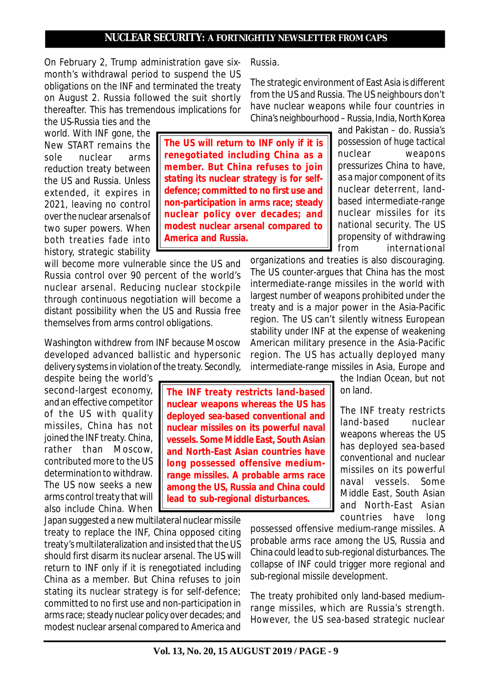On February 2, Trump administration gave sixmonth's withdrawal period to suspend the US obligations on the INF and terminated the treaty on August 2. Russia followed the suit shortly thereafter. This has tremendous implications for

the US-Russia ties and the world. With INF gone, the New START remains the sole nuclear arms reduction treaty between the US and Russia. Unless extended, it expires in 2021, leaving no control over the nuclear arsenals of two super powers. When both treaties fade into history, strategic stability

will become more vulnerable since the US and Russia control over 90 percent of the world's nuclear arsenal. Reducing nuclear stockpile through continuous negotiation will become a distant possibility when the US and Russia free themselves from arms control obligations.

**America and Russia.**

Washington withdrew from INF because Moscow developed advanced ballistic and hypersonic delivery systems in violation of the treaty. Secondly,

despite being the world's second-largest economy, and an effective competitor of the US with quality missiles, China has not joined the INF treaty. China, rather than Moscow, contributed more to the US determination to withdraw.

**The INF treaty restricts land-based nuclear weapons whereas the US has deployed sea-based conventional and nuclear missiles on its powerful naval vessels. Some Middle East, South Asian and North-East Asian countries have long possessed offensive mediumrange missiles. A probable arms race among the US, Russia and China could lead to sub-regional disturbances.**

and Pakistan – do. Russia's possession of huge tactical nuclear weapons pressurizes China to have, as a major component of its nuclear deterrent, landbased intermediate-range nuclear missiles for its national security. The US propensity of withdrawing from international **The US will return to INF only if it is renegotiated including China as a member. But China refuses to join stating its nuclear strategy is for selfdefence; committed to no first use and non-participation in arms race; steady nuclear policy over decades; and modest nuclear arsenal compared to**

> organizations and treaties is also discouraging. The US counter-argues that China has the most intermediate-range missiles in the world with largest number of weapons prohibited under the treaty and is a major power in the Asia-Pacific region. The US can't silently witness European stability under INF at the expense of weakening American military presence in the Asia-Pacific region. The US has actually deployed many intermediate-range missiles in Asia, Europe and

the Indian Ocean, but not on land.

The INF treaty restricts land-based nuclear weapons whereas the US has deployed sea-based conventional and nuclear missiles on its powerful naval vessels. Some Middle East, South Asian and North-East Asian countries have long

possessed offensive medium-range missiles. A probable arms race among the US, Russia and China could lead to sub-regional disturbances. The collapse of INF could trigger more regional and sub-regional missile development.

The treaty prohibited only land-based mediumrange missiles, which are Russia's strength. However, the US sea-based strategic nuclear

The US now seeks a new arms control treaty that will also include China. When Japan suggested a new multilateral nuclear missile treaty to replace the INF, China opposed citing treaty's multilateralization and insisted that the US should first disarm its nuclear arsenal. The US will return to INF only if it is renegotiated including

China as a member. But China refuses to join stating its nuclear strategy is for self-defence; committed to no first use and non-participation in arms race; steady nuclear policy over decades; and modest nuclear arsenal compared to America and

Russia.

The strategic environment of East Asia is different from the US and Russia. The US neighbours don't have nuclear weapons while four countries in China's neighbourhood – Russia, India, North Korea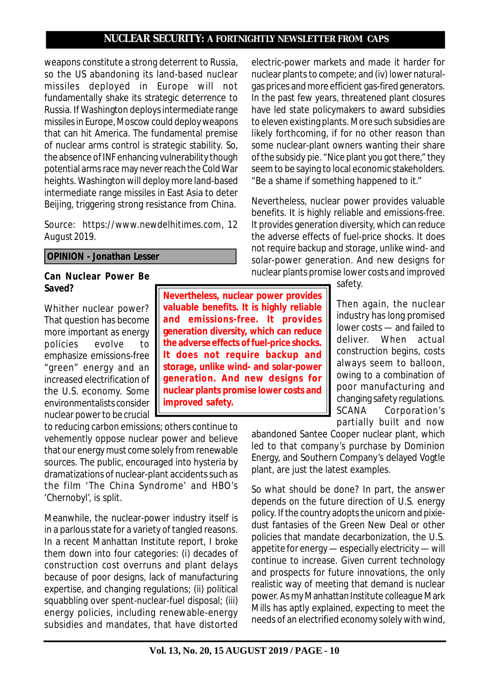**Nevertheless, nuclear power provides valuable benefits. It is highly reliable and emissions-free. It provides generation diversity, which can reduce the adverse effects of fuel-price shocks. It does not require backup and**

weapons constitute a strong deterrent to Russia, so the US abandoning its land-based nuclear missiles deployed in Europe will not fundamentally shake its strategic deterrence to Russia. If Washington deploys intermediate range missiles in Europe, Moscow could deploy weapons that can hit America. The fundamental premise of nuclear arms control is strategic stability. So, the absence of INF enhancing vulnerability though potential arms race may never reach the Cold War heights. Washington will deploy more land-based intermediate range missiles in East Asia to deter Beijing, triggering strong resistance from China.

*Source: https://www.newdelhitimes.com, 12 August 2019.*

#### **OPINION - Jonathan Lesser**

### **Can Nuclear Power Be Saved?**

Whither nuclear power? That question has become more important as energy policies evolve to emphasize emissions-free "green" energy and an increased electrification of the U.S. economy. Some environmentalists consider nuclear power to be crucial

to reducing carbon emissions; others continue to vehemently oppose nuclear power and believe that our energy must come solely from renewable sources. The public, encouraged into hysteria by **storage, unlike wind- and solar-power generation. And new designs for nuclear plants promise lower costs and improved safety.**

dramatizations of nuclear-plant accidents such as the film 'The China Syndrome' and HBO's 'Chernobyl', is split. Meanwhile, the nuclear-power industry itself is in a parlous state for a variety of tangled reasons.

In a recent Manhattan Institute report, I broke them down into four categories: (i) decades of construction cost overruns and plant delays because of poor designs, lack of manufacturing expertise, and changing regulations; (ii) political squabbling over spent-nuclear-fuel disposal; (iii) energy policies, including renewable-energy subsidies and mandates, that have distorted electric-power markets and made it harder for nuclear plants to compete; and (iv) lower naturalgas prices and more efficient gas-fired generators. In the past few years, threatened plant closures have led state policymakers to award subsidies to eleven existing plants. More such subsidies are likely forthcoming, if for no other reason than some nuclear-plant owners wanting their share of the subsidy pie. "Nice plant you got there," they seem to be saying to local economic stakeholders. "Be a shame if something happened to it."

Nevertheless, nuclear power provides valuable benefits. It is highly reliable and emissions-free. It provides generation diversity, which can reduce the adverse effects of fuel-price shocks. It does not require backup and storage, unlike wind- and solar-power generation. And new designs for nuclear plants promise lower costs and improved

safety.

Then again, the nuclear industry has long promised lower costs — and failed to deliver. When actual construction begins, costs always seem to balloon, owing to a combination of poor manufacturing and changing safety regulations. SCANA Corporation's partially built and now

abandoned Santee Cooper nuclear plant, which led to that company's purchase by Dominion Energy, and Southern Company's delayed Vogtle plant, are just the latest examples.

So what should be done? In part, the answer depends on the future direction of U.S. energy policy. If the country adopts the unicorn and pixiedust fantasies of the Green New Deal or other policies that mandate decarbonization, the U.S. appetite for energy — especially electricity — will continue to increase. Given current technology and prospects for future innovations, the only realistic way of meeting that demand is nuclear power. As my Manhattan Institute colleague Mark Mills has aptly explained, expecting to meet the needs of an electrified economy solely with wind,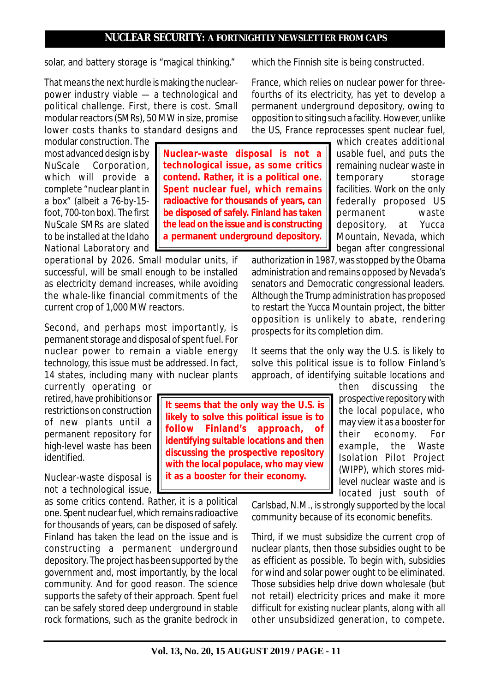**It seems that the only way the U.S. is likely to solve this political issue is to follow Finland's approach, of identifying suitable locations and then discussing the prospective repository with the local populace, who may view it as a booster for their economy.**

**Vol. 13, No. 20, 15 AUGUST 2019 / PAGE - 11**

# **NUCLEAR SECURITY: A FORTNIGHTLY NEWSLETTER FROM CAPS**

**Nuclear-waste disposal is not a technological issue, as some critics contend. Rather, it is a political one. Spent nuclear fuel, which remains radioactive for thousands of years, can be disposed of safely. Finland has taken the lead on the issue and is constructing a permanent underground depository.**

solar, and battery storage is "magical thinking."

That means the next hurdle is making the nuclearpower industry viable — a technological and political challenge. First, there is cost. Small modular reactors (SMRs), 50 MW in size, promise lower costs thanks to standard designs and

modular construction. The most advanced design is by NuScale Corporation, which will provide a complete "nuclear plant in a box" (albeit a 76-by-15 foot, 700-ton box). The first NuScale SMRs are slated to be installed at the Idaho National Laboratory and

operational by 2026. Small modular units, if successful, will be small enough to be installed as electricity demand increases, while avoiding the whale-like financial commitments of the current crop of 1,000 MW reactors.

Second, and perhaps most importantly, is permanent storage and disposal of spent fuel. For nuclear power to remain a viable energy technology, this issue must be addressed. In fact, 14 states, including many with nuclear plants

currently operating or retired, have prohibitions or restrictions on construction of new plants until a permanent repository for high-level waste has been identified.

Nuclear-waste disposal is not a technological issue,

as some critics contend. Rather, it is a political one. Spent nuclear fuel, which remains radioactive for thousands of years, can be disposed of safely. Finland has taken the lead on the issue and is constructing a permanent underground depository. The project has been supported by the government and, most importantly, by the local community. And for good reason. The science supports the safety of their approach. Spent fuel can be safely stored deep underground in stable rock formations, such as the granite bedrock in

which the Finnish site is being constructed.

France, which relies on nuclear power for threefourths of its electricity, has yet to develop a permanent underground depository, owing to opposition to siting such a facility. However, unlike the US, France reprocesses spent nuclear fuel,

which creates additional usable fuel, and puts the remaining nuclear waste in temporary storage facilities. Work on the only federally proposed US permanent waste depository, at Yucca Mountain, Nevada, which began after congressional

authorization in 1987, was stopped by the Obama administration and remains opposed by Nevada's senators and Democratic congressional leaders. Although the Trump administration has proposed to restart the Yucca Mountain project, the bitter opposition is unlikely to abate, rendering prospects for its completion dim.

It seems that the only way the U.S. is likely to solve this political issue is to follow Finland's approach, of identifying suitable locations and

> then discussing the prospective repository with the local populace, who may view it as a booster for their economy. For example, the Waste Isolation Pilot Project (WIPP), which stores midlevel nuclear waste and is located just south of

Carlsbad, N.M., is strongly supported by the local community because of its economic benefits.

Third, if we must subsidize the current crop of nuclear plants, then those subsidies ought to be as efficient as possible. To begin with, subsidies for wind and solar power ought to be eliminated. Those subsidies help drive down wholesale (but not retail) electricity prices and make it more difficult for existing nuclear plants, along with all other unsubsidized generation, to compete.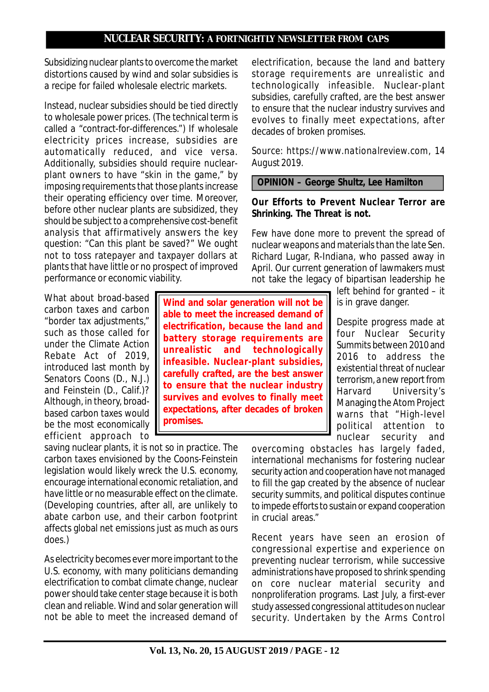Subsidizing nuclear plants to overcome the market distortions caused by wind and solar subsidies is a recipe for failed wholesale electric markets.

Instead, nuclear subsidies should be tied directly to wholesale power prices. (The technical term is called a "contract-for-differences.") If wholesale electricity prices increase, subsidies are automatically reduced, and vice versa. Additionally, subsidies should require nuclearplant owners to have "skin in the game," by imposing requirements that those plants increase their operating efficiency over time. Moreover, before other nuclear plants are subsidized, they should be subject to a comprehensive cost-benefit analysis that affirmatively answers the key question: "Can this plant be saved?" We ought not to toss ratepayer and taxpayer dollars at plants that have little or no prospect of improved performance or economic viability.

What about broad-based carbon taxes and carbon "border tax adjustments," such as those called for under the Climate Action Rebate Act of 2019, introduced last month by Senators Coons (D., N.J.) and Feinstein (D., Calif.)? Although, in theory, broadbased carbon taxes would be the most economically efficient approach to

saving nuclear plants, it is not so in practice. The carbon taxes envisioned by the Coons-Feinstein legislation would likely wreck the U.S. economy, encourage international economic retaliation, and have little or no measurable effect on the climate. (Developing countries, after all, are unlikely to abate carbon use, and their carbon footprint affects global net emissions just as much as ours does.)

As electricity becomes ever more important to the U.S. economy, with many politicians demanding electrification to combat climate change, nuclear power should take center stage because it is both clean and reliable. Wind and solar generation will not be able to meet the increased demand of electrification, because the land and battery storage requirements are unrealistic and technologically infeasible. Nuclear-plant subsidies, carefully crafted, are the best answer to ensure that the nuclear industry survives and evolves to finally meet expectations, after decades of broken promises.

#### *Source: https://www.nationalreview.com, 14 August 2019.*

 **OPINION – George Shultz, Lee Hamilton**

#### **Our Efforts to Prevent Nuclear Terror are Shrinking. The Threat is not.**

Few have done more to prevent the spread of nuclear weapons and materials than the late Sen. Richard Lugar, R-Indiana, who passed away in April. Our current generation of lawmakers must not take the legacy of bipartisan leadership he

> left behind for granted – it is in grave danger.

Despite progress made at four Nuclear Security Summits between 2010 and 2016 to address the existential threat of nuclear terrorism, a new report from Harvard University's Managing the Atom Project warns that "High-level political attention to nuclear security and

overcoming obstacles has largely faded, international mechanisms for fostering nuclear security action and cooperation have not managed to fill the gap created by the absence of nuclear security summits, and political disputes continue to impede efforts to sustain or expand cooperation in crucial areas."

Recent years have seen an erosion of congressional expertise and experience on preventing nuclear terrorism, while successive administrations have proposed to shrink spending on core nuclear material security and nonproliferation programs. Last July, a first-ever study assessed congressional attitudes on nuclear security. Undertaken by the Arms Control

**Wind and solar generation will not be able to meet the increased demand of electrification, because the land and battery storage requirements are unrealistic and technologically infeasible. Nuclear-plant subsidies, carefully crafted, are the best answer to ensure that the nuclear industry survives and evolves to finally meet expectations, after decades of broken promises.**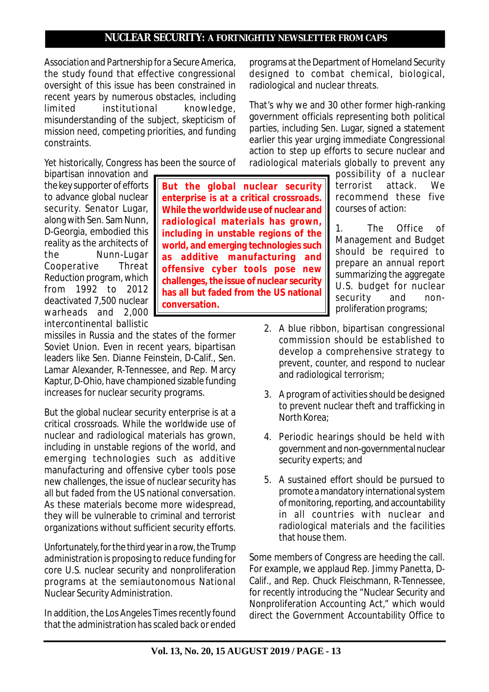**But the global nuclear security enterprise is at a critical crossroads. While the worldwide use of nuclear and radiological materials has grown, including in unstable regions of the world, and emerging technologies such as additive manufacturing and offensive cyber tools pose new challenges, the issue of nuclear security has all but faded from the US national**

Association and Partnership for a Secure America, the study found that effective congressional oversight of this issue has been constrained in recent years by numerous obstacles, including limited institutional knowledge, misunderstanding of the subject, skepticism of mission need, competing priorities, and funding constraints.

Yet historically, Congress has been the source of

bipartisan innovation and the key supporter of efforts to advance global nuclear security. Senator Lugar, along with Sen. Sam Nunn, D-Georgia, embodied this reality as the architects of the Nunn-Lugar Cooperative Threat Reduction program, which from 1992 to 2012 deactivated 7,500 nuclear warheads and 2,000 intercontinental ballistic

missiles in Russia and the states of the former Soviet Union. Even in recent years, bipartisan leaders like Sen. Dianne Feinstein, D-Calif., Sen. Lamar Alexander, R-Tennessee, and Rep. Marcy Kaptur, D-Ohio, have championed sizable funding increases for nuclear security programs.

**conversation.**

But the global nuclear security enterprise is at a critical crossroads. While the worldwide use of nuclear and radiological materials has grown, including in unstable regions of the world, and emerging technologies such as additive manufacturing and offensive cyber tools pose new challenges, the issue of nuclear security has all but faded from the US national conversation. As these materials become more widespread, they will be vulnerable to criminal and terrorist organizations without sufficient security efforts.

Unfortunately, for the third year in a row, the Trump administration is proposing to reduce funding for core U.S. nuclear security and nonproliferation programs at the semiautonomous National Nuclear Security Administration.

In addition, the Los Angeles Times recently found that the administration has scaled back or ended programs at the Department of Homeland Security designed to combat chemical, biological, radiological and nuclear threats.

That's why we and 30 other former high-ranking government officials representing both political parties, including Sen. Lugar, signed a statement earlier this year urging immediate Congressional action to step up efforts to secure nuclear and radiological materials globally to prevent any

possibility of a nuclear terrorist attack. We recommend these five courses of action:

- 1. The Office of Management and Budget should be required to prepare an annual report summarizing the aggregate U.S. budget for nuclear security and nonproliferation programs;
- 2. A blue ribbon, bipartisan congressional commission should be established to develop a comprehensive strategy to prevent, counter, and respond to nuclear and radiological terrorism;
- 3. A program of activities should be designed to prevent nuclear theft and trafficking in North Korea;
- 4. Periodic hearings should be held with government and non-governmental nuclear security experts; and
- 5. A sustained effort should be pursued to promote a mandatory international system of monitoring, reporting, and accountability in all countries with nuclear and radiological materials and the facilities that house them.

Some members of Congress are heeding the call. For example, we applaud Rep. Jimmy Panetta, D-Calif., and Rep. Chuck Fleischmann, R-Tennessee, for recently introducing the "Nuclear Security and Nonproliferation Accounting Act," which would direct the Government Accountability Office to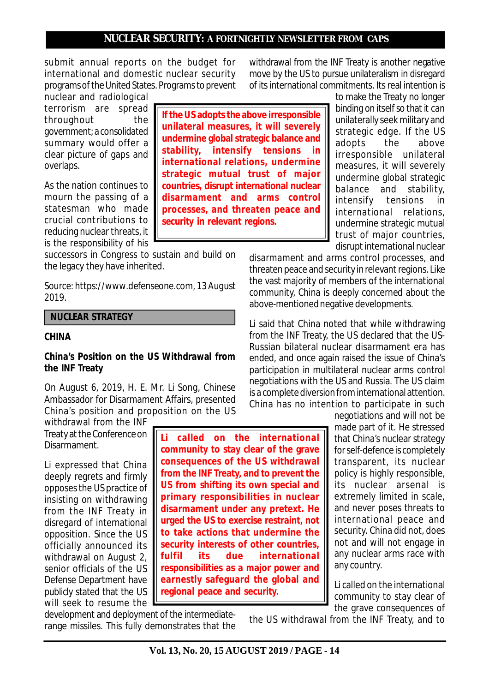submit annual reports on the budget for international and domestic nuclear security programs of the United States. Programs to prevent

nuclear and radiological terrorism are spread throughout the government; a consolidated summary would offer a clear picture of gaps and overlaps.

As the nation continues to mourn the passing of a statesman who made crucial contributions to reducing nuclear threats, it is the responsibility of his

successors in Congress to sustain and build on the legacy they have inherited.

*Source: https://www.defenseone.com, 13 August 2019.*

#### **NUCLEAR STRATEGY**

#### **CHINA**

#### **China's Position on the US Withdrawal from the INF Treaty**

On August 6, 2019, H. E. Mr. Li Song, Chinese Ambassador for Disarmament Affairs, presented China's position and proposition on the US

withdrawal from the INF Treaty at the Conference on Disarmament.

Li expressed that China deeply regrets and firmly opposes the US practice of insisting on withdrawing from the INF Treaty in disregard of international opposition. Since the US officially announced its withdrawal on August 2. senior officials of the US Defense Department have publicly stated that the US will seek to resume the

**Li called on the international community to stay clear of the grave consequences of the US withdrawal from the INF Treaty, and to prevent the US from shifting its own special and primary responsibilities in nuclear disarmament under any pretext. He urged the US to exercise restraint, not to take actions that undermine the security interests of other countries, fulfil its due international responsibilities as a major power and earnestly safeguard the global and regional peace and security.**

development and deployment of the intermediaterange missiles. This fully demonstrates that the withdrawal from the INF Treaty is another negative move by the US to pursue unilateralism in disregard of its international commitments. Its real intention is

**If the US adopts the above irresponsible unilateral measures, it will severely undermine global strategic balance and stability, intensify tensions in international relations, undermine strategic mutual trust of major countries, disrupt international nuclear disarmament and arms control processes, and threaten peace and security in relevant regions.**

to make the Treaty no longer binding on itself so that it can unilaterally seek military and strategic edge. If the US adopts the above irresponsible unilateral measures, it will severely undermine global strategic balance and stability, intensify tensions in international relations, undermine strategic mutual trust of major countries, disrupt international nuclear

disarmament and arms control processes, and threaten peace and security in relevant regions. Like the vast majority of members of the international community, China is deeply concerned about the above-mentioned negative developments.

Li said that China noted that while withdrawing from the INF Treaty, the US declared that the US-Russian bilateral nuclear disarmament era has ended, and once again raised the issue of China's participation in multilateral nuclear arms control negotiations with the US and Russia. The US claim is a complete diversion from international attention. China has no intention to participate in such

negotiations and will not be made part of it. He stressed that China's nuclear strategy for self-defence is completely transparent, its nuclear policy is highly responsible, its nuclear arsenal is extremely limited in scale, and never poses threats to international peace and security. China did not, does not and will not engage in any nuclear arms race with any country.

Li called on the international community to stay clear of the grave consequences of

the US withdrawal from the INF Treaty, and to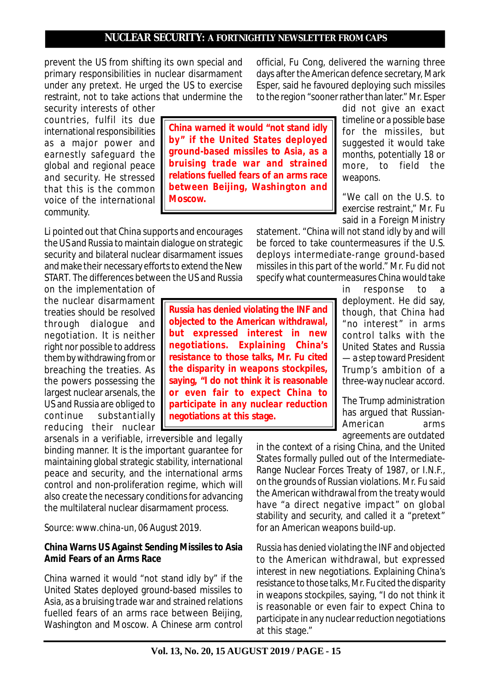prevent the US from shifting its own special and primary responsibilities in nuclear disarmament under any pretext. He urged the US to exercise restraint, not to take actions that undermine the

security interests of other countries, fulfil its due international responsibilities as a major power and earnestly safeguard the global and regional peace and security. He stressed that this is the common voice of the international community.

Li pointed out that China supports and encourages the US and Russia to maintain dialogue on strategic security and bilateral nuclear disarmament issues and make their necessary efforts to extend the New START. The differences between the US and Russia

on the implementation of the nuclear disarmament treaties should be resolved through dialogue and negotiation. It is neither right nor possible to address them by withdrawing from or breaching the treaties. As the powers possessing the largest nuclear arsenals, the US and Russia are obliged to continue substantially reducing their nuclear

arsenals in a verifiable, irreversible and legally binding manner. It is the important guarantee for maintaining global strategic stability, international peace and security, and the international arms control and non-proliferation regime, which will also create the necessary conditions for advancing the multilateral nuclear disarmament process.

#### *Source: www.china-un, 06 August 2019.*

#### **China Warns US Against Sending Missiles to Asia Amid Fears of an Arms Race**

China warned it would "not stand idly by" if the United States deployed ground-based missiles to Asia, as a bruising trade war and strained relations fuelled fears of an arms race between Beijing, Washington and Moscow. A Chinese arm control official, Fu Cong, delivered the warning three days after the American defence secretary, Mark Esper, said he favoured deploying such missiles to the region "sooner rather than later." Mr. Esper

**China warned it would "not stand idly by" if the United States deployed ground-based missiles to Asia, as a bruising trade war and strained relations fuelled fears of an arms race between Beijing, Washington and Moscow.**

**Russia has denied violating the INF and objected to the American withdrawal, but expressed interest in new negotiations. Explaining China's resistance to those talks, Mr. Fu cited the disparity in weapons stockpiles, saying, "I do not think it is reasonable or even fair to expect China to participate in any nuclear reduction**

**negotiations at this stage.**

did not give an exact timeline or a possible base for the missiles, but suggested it would take months, potentially 18 or more, to field the weapons.

"We call on the U.S. to exercise restraint," Mr. Fu said in a Foreign Ministry

statement. "China will not stand idly by and will be forced to take countermeasures if the U.S. deploys intermediate-range ground-based missiles in this part of the world." Mr. Fu did not specify what countermeasures China would take

> in response to deployment. He did say, though, that China had "no interest" in arms control talks with the United States and Russia — a step toward President Trump's ambition of a three-way nuclear accord.

The Trump administration has argued that Russian-American arms agreements are outdated

in the context of a rising China, and the United States formally pulled out of the Intermediate-Range Nuclear Forces Treaty of 1987, or I.N.F., on the grounds of Russian violations. Mr. Fu said the American withdrawal from the treaty would have "a direct negative impact" on global stability and security, and called it a "pretext" for an American weapons build-up.

Russia has denied violating the INF and objected to the American withdrawal, but expressed interest in new negotiations. Explaining China's resistance to those talks, Mr. Fu cited the disparity in weapons stockpiles, saying, "I do not think it is reasonable or even fair to expect China to participate in any nuclear reduction negotiations

at this stage."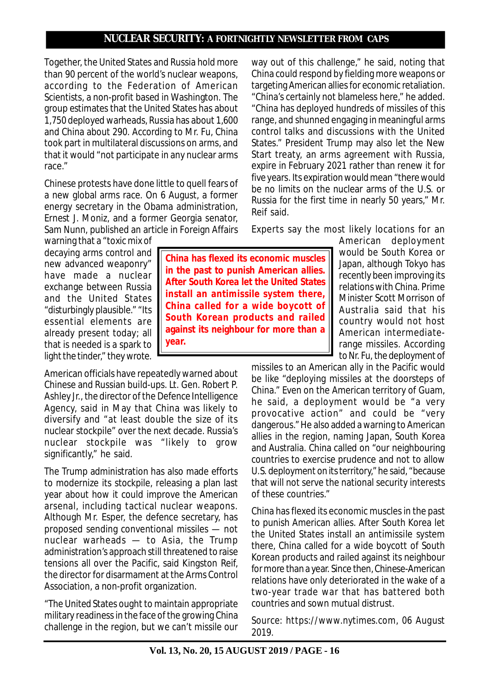Together, the United States and Russia hold more than 90 percent of the world's nuclear weapons, according to the Federation of American Scientists, a non-profit based in Washington. The group estimates that the United States has about 1,750 deployed warheads, Russia has about 1,600 and China about 290. According to Mr. Fu, China took part in multilateral discussions on arms, and that it would "not participate in any nuclear arms race."

Chinese protests have done little to quell fears of a new global arms race. On 6 August, a former energy secretary in the Obama administration, Ernest J. Moniz, and a former Georgia senator, Sam Nunn, published an article in Foreign Affairs

warning that a "toxic mix of decaying arms control and new advanced weaponry" have made a nuclear exchange between Russia and the United States "disturbingly plausible." "Its essential elements are already present today; all that is needed is a spark to light the tinder," they wrote.

American officials have repeatedly warned about Chinese and Russian build-ups. Lt. Gen. Robert P. Ashley Jr., the director of the Defence Intelligence Agency, said in May that China was likely to diversify and "at least double the size of its nuclear stockpile" over the next decade. Russia's nuclear stockpile was "likely to grow significantly," he said.

The Trump administration has also made efforts to modernize its stockpile, releasing a plan last year about how it could improve the American arsenal, including tactical nuclear weapons. Although Mr. Esper, the defence secretary, has proposed sending conventional missiles — not nuclear warheads — to Asia, the Trump administration's approach still threatened to raise tensions all over the Pacific, said Kingston Reif, the director for disarmament at the Arms Control Association, a non-profit organization.

"The United States ought to maintain appropriate military readiness in the face of the growing China challenge in the region, but we can't missile our way out of this challenge," he said, noting that China could respond by fielding more weapons or targeting American allies for economic retaliation. "China's certainly not blameless here," he added. "China has deployed hundreds of missiles of this range, and shunned engaging in meaningful arms control talks and discussions with the United States." President Trump may also let the New Start treaty, an arms agreement with Russia, expire in February 2021 rather than renew it for five years. Its expiration would mean "there would be no limits on the nuclear arms of the U.S. or Russia for the first time in nearly 50 years," Mr. Reif said.

Experts say the most likely locations for an

American deployment would be South Korea or Japan, although Tokyo has recently been improving its relations with China. Prime Minister Scott Morrison of Australia said that his country would not host American intermediaterange missiles. According to Nr. Fu, the deployment of

missiles to an American ally in the Pacific would be like "deploying missiles at the doorsteps of China." Even on the American territory of Guam, he said, a deployment would be "a very provocative action" and could be "very dangerous." He also added a warning to American allies in the region, naming Japan, South Korea and Australia. China called on "our neighbouring countries to exercise prudence and not to allow U.S. deployment on its territory," he said, "because that will not serve the national security interests of these countries."

China has flexed its economic muscles in the past to punish American allies. After South Korea let the United States install an antimissile system there, China called for a wide boycott of South Korean products and railed against its neighbour for more than a year. Since then, Chinese-American relations have only deteriorated in the wake of a two-year trade war that has battered both countries and sown mutual distrust.

*Source: https://www.nytimes.com, 06 August 2019.*

**China has flexed its economic muscles in the past to punish American allies. After South Korea let the United States install an antimissile system there, China called for a wide boycott of South Korean products and railed against its neighbour for more than a year.**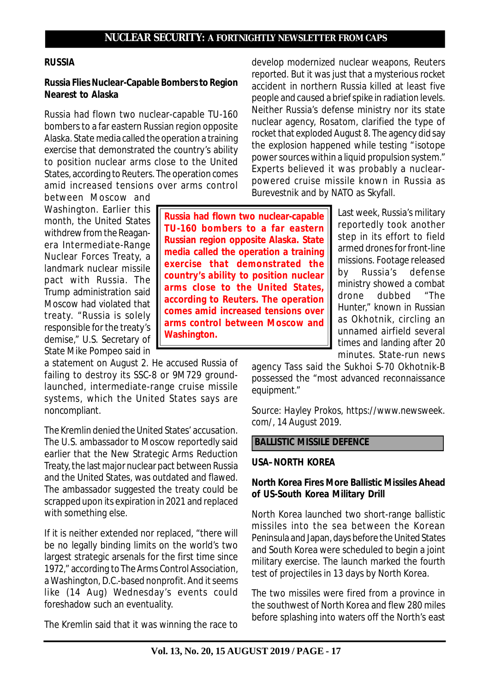### **RUSSIA**

# **Russia Flies Nuclear-Capable Bombers to Region Nearest to Alaska**

Russia had flown two nuclear-capable TU-160 bombers to a far eastern Russian region opposite Alaska. State media called the operation a training exercise that demonstrated the country's ability to position nuclear arms close to the United States, according to Reuters. The operation comes amid increased tensions over arms control

between Moscow and Washington. Earlier this month, the United States withdrew from the Reaganera Intermediate-Range Nuclear Forces Treaty, a landmark nuclear missile pact with Russia. The Trump administration said Moscow had violated that treaty. "Russia is solely responsible for the treaty's demise," U.S. Secretary of State Mike Pompeo said in

a statement on August 2. He accused Russia of failing to destroy its SSC-8 or 9M729 groundlaunched, intermediate-range cruise missile systems, which the United States says are noncompliant.

The Kremlin denied the United States' accusation. The U.S. ambassador to Moscow reportedly said earlier that the New Strategic Arms Reduction Treaty, the last major nuclear pact between Russia and the United States, was outdated and flawed. The ambassador suggested the treaty could be scrapped upon its expiration in 2021 and replaced with something else.

If it is neither extended nor replaced, "there will be no legally binding limits on the world's two largest strategic arsenals for the first time since 1972," according to The Arms Control Association, a Washington, D.C.-based nonprofit. And it seems like (14 Aug) Wednesday's events could foreshadow such an eventuality.

The Kremlin said that it was winning the race to

develop modernized nuclear weapons, Reuters reported. But it was just that a mysterious rocket accident in northern Russia killed at least five people and caused a brief spike in radiation levels. Neither Russia's defense ministry nor its state nuclear agency, Rosatom, clarified the type of rocket that exploded August 8. The agency did say the explosion happened while testing "isotope power sources within a liquid propulsion system." Experts believed it was probably a nuclearpowered cruise missile known in Russia as Burevestnik and by NATO as Skyfall.

**Russia had flown two nuclear-capable TU-160 bombers to a far eastern Russian region opposite Alaska. State media called the operation a training exercise that demonstrated the country's ability to position nuclear arms close to the United States, according to Reuters. The operation comes amid increased tensions over arms control between Moscow and Washington.**

Last week, Russia's military reportedly took another step in its effort to field armed drones for front-line missions. Footage released by Russia's defense ministry showed a combat drone dubbed "The Hunter," known in Russian as Okhotnik, circling an unnamed airfield several times and landing after 20 minutes. State-run news

agency Tass said the Sukhoi S-70 Okhotnik-B possessed the "most advanced reconnaissance equipment."

*Source: Hayley Prokos, https://www.newsweek. com/, 14 August 2019.*

#### **BALLISTIC MISSILE DEFENCE**

# **USA–NORTH KOREA**

# **North Korea Fires More Ballistic Missiles Ahead of US-South Korea Military Drill**

North Korea launched two short-range ballistic missiles into the sea between the Korean Peninsula and Japan, days before the United States and South Korea were scheduled to begin a joint military exercise. The launch marked the fourth test of projectiles in 13 days by North Korea.

The two missiles were fired from a province in the southwest of North Korea and flew 280 miles before splashing into waters off the North's east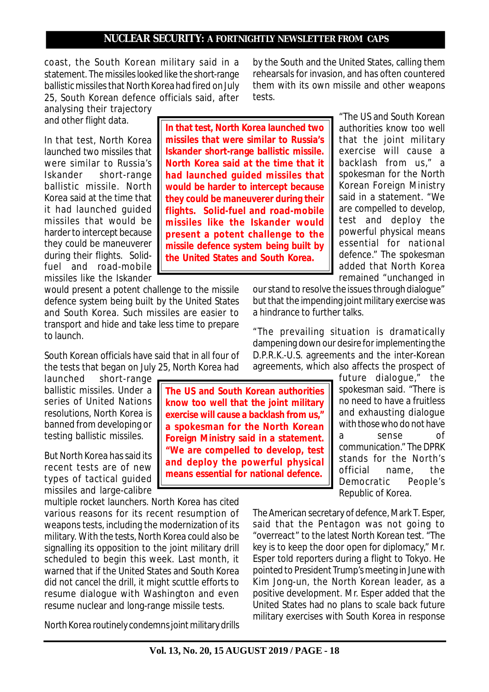coast, the South Korean military said in a statement. The missiles looked like the short-range ballistic missiles that North Korea had fired on July 25, South Korean defence officials said, after

analysing their trajectory and other flight data.

In that test, North Korea launched two missiles that were similar to Russia's Iskander short-range ballistic missile. North Korea said at the time that it had launched guided missiles that would be harder to intercept because they could be maneuverer during their flights. Solidfuel and road-mobile missiles like the Iskander

would present a potent challenge to the missile defence system being built by the United States and South Korea. Such missiles are easier to transport and hide and take less time to prepare to launch.

South Korean officials have said that in all four of the tests that began on July 25, North Korea had

launched short-range ballistic missiles. Under a series of United Nations resolutions, North Korea is banned from developing or testing ballistic missiles.

But North Korea has said its recent tests are of new types of tactical guided missiles and large-calibre

multiple rocket launchers. North Korea has cited various reasons for its recent resumption of weapons tests, including the modernization of its military. With the tests, North Korea could also be signalling its opposition to the joint military drill scheduled to begin this week. Last month, it warned that if the United States and South Korea did not cancel the drill, it might scuttle efforts to resume dialogue with Washington and even resume nuclear and long-range missile tests.

North Korea routinely condemns joint military drills

**In that test, North Korea launched two missiles that were similar to Russia's Iskander short-range ballistic missile. North Korea said at the time that it had launched guided missiles that would be harder to intercept because they could be maneuverer during their flights. Solid-fuel and road-mobile missiles like the Iskander would present a potent challenge to the missile defence system being built by the United States and South Korea.**

**The US and South Korean authorities know too well that the joint military exercise will cause a backlash from us," a spokesman for the North Korean Foreign Ministry said in a statement. "We are compelled to develop, test and deploy the powerful physical means essential for national defence.**

by the South and the United States, calling them rehearsals for invasion, and has often countered them with its own missile and other weapons tests.

> "The US and South Korean authorities know too well that the joint military exercise will cause a backlash from us," a spokesman for the North Korean Foreign Ministry said in a statement. "We are compelled to develop, test and deploy the powerful physical means essential for national defence." The spokesman added that North Korea remained "unchanged in

our stand to resolve the issues through dialogue" but that the impending joint military exercise was a hindrance to further talks.

"The prevailing situation is dramatically dampening down our desire for implementing the D.P.R.K.-U.S. agreements and the inter-Korean agreements, which also affects the prospect of

> future dialogue," the spokesman said. "There is no need to have a fruitless and exhausting dialogue with those who do not have a sense of communication." The DPRK stands for the North's official name, the Democratic People's Republic of Korea.

The American secretary of defence, Mark T. Esper, said that the Pentagon was not going to "overreact" to the latest North Korean test. "The key is to keep the door open for diplomacy," Mr. Esper told reporters during a flight to Tokyo. He pointed to President Trump's meeting in June with Kim Jong-un, the North Korean leader, as a positive development. Mr. Esper added that the United States had no plans to scale back future military exercises with South Korea in response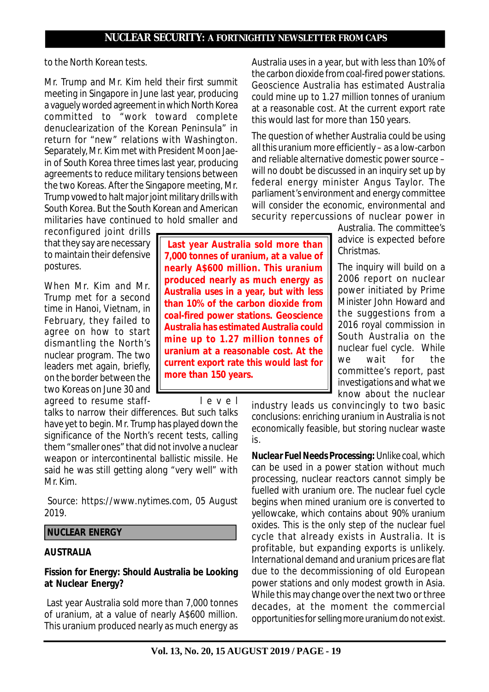to the North Korean tests.

Mr. Trump and Mr. Kim held their first summit meeting in Singapore in June last year, producing a vaguely worded agreement in which North Korea committed to "work toward complete denuclearization of the Korean Peninsula" in return for "new" relations with Washington. Separately, Mr. Kim met with President Moon Jaein of South Korea three times last year, producing agreements to reduce military tensions between the two Koreas. After the Singapore meeting, Mr. Trump vowed to halt major joint military drills with South Korea. But the South Korean and American militaries have continued to hold smaller and

reconfigured joint drills that they say are necessary to maintain their defensive postures.

When Mr. Kim and Mr. Trump met for a second time in Hanoi, Vietnam, in February, they failed to agree on how to start dismantling the North's nuclear program. The two leaders met again, briefly, on the border between the two Koreas on June 30 and agreed to resume staff-<br>agreed to resume staff-<br>agreed to resume staff-

talks to narrow their differences. But such talks have yet to begin. Mr. Trump has played down the significance of the North's recent tests, calling them "smaller ones" that did not involve a nuclear weapon or intercontinental ballistic missile. He said he was still getting along "very well" with Mr. Kim.

*Source: https://www.nytimes.com, 05 August 2019.*

# **NUCLEAR ENERGY**

#### **AUSTRALIA**

# **Fission for Energy: Should Australia be Looking at Nuclear Energy?**

 Last year Australia sold more than 7,000 tonnes of uranium, at a value of nearly A\$600 million. This uranium produced nearly as much energy as Australia uses in a year, but with less than 10% of the carbon dioxide from coal-fired power stations. Geoscience Australia has estimated Australia could mine up to 1.27 million tonnes of uranium at a reasonable cost. At the current export rate this would last for more than 150 years.

The question of whether Australia could be using all this uranium more efficiently – as a low-carbon and reliable alternative domestic power source – will no doubt be discussed in an inquiry set up by federal energy minister Angus Taylor. The parliament's environment and energy committee will consider the economic, environmental and security repercussions of nuclear power in

> Australia. The committee's advice is expected before Christmas.

> The inquiry will build on a 2006 report on nuclear power initiated by Prime Minister John Howard and the suggestions from a 2016 royal commission in South Australia on the nuclear fuel cycle. While we wait for the committee's report, past investigations and what we know about the nuclear

industry leads us convincingly to two basic conclusions: enriching uranium in Australia is not economically feasible, but storing nuclear waste is.

*Nuclear Fuel Needs Processing:* Unlike coal, which can be used in a power station without much processing, nuclear reactors cannot simply be fuelled with uranium ore. The nuclear fuel cycle begins when mined uranium ore is converted to yellowcake, which contains about 90% uranium oxides. This is the only step of the nuclear fuel cycle that already exists in Australia. It is profitable, but expanding exports is unlikely. International demand and uranium prices are flat due to the decommissioning of old European power stations and only modest growth in Asia. While this may change over the next two or three decades, at the moment the commercial opportunities for selling more uranium do not exist.

 **Last year Australia sold more than 7,000 tonnes of uranium, at a value of nearly A\$600 million. This uranium produced nearly as much energy as Australia uses in a year, but with less than 10% of the carbon dioxide from coal-fired power stations. Geoscience Australia has estimated Australia could mine up to 1.27 million tonnes of uranium at a reasonable cost. At the current export rate this would last for more than 150 years.**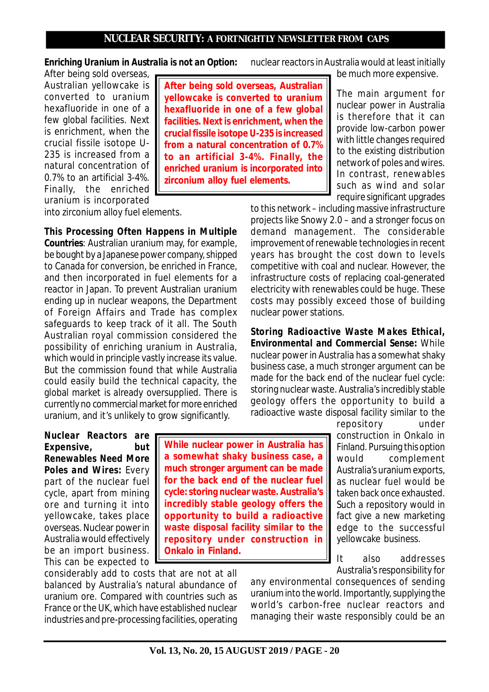*Enriching Uranium in Australia is not an Option:*

*This Processing Often Happens in Multiple Countries*: Australian uranium may, for example, be bought by a Japanese power company, shipped to Canada for conversion, be enriched in France, and then incorporated in fuel elements for a reactor in Japan. To prevent Australian uranium ending up in nuclear weapons, the Department of Foreign Affairs and Trade has complex safeguards to keep track of it all. The South Australian royal commission considered the possibility of enriching uranium in Australia, which would in principle vastly increase its value. But the commission found that while Australia could easily build the technical capacity, the global market is already oversupplied. There is currently no commercial market for more enriched uranium, and it's unlikely to grow significantly.

nuclear reactors in Australia would at least initially

After being sold overseas, Australian yellowcake is converted to uranium hexafluoride in one of a few global facilities. Next is enrichment, when the crucial fissile isotope U-235 is increased from a natural concentration of 0.7% to an artificial 3-4%. Finally, the enriched uranium is incorporated into zirconium alloy fuel elements.

**After being sold overseas, Australian yellowcake is converted to uranium hexafluoride in one of a few global facilities. Next is enrichment, when the crucial fissile isotope U-235 is increased from a natural concentration of 0.7% to an artificial 3-4%. Finally, the enriched uranium is incorporated into zirconium alloy fuel elements.**

be much more expensive.

The main argument for nuclear power in Australia is therefore that it can provide low-carbon power with little changes required to the existing distribution network of poles and wires. In contrast, renewables such as wind and solar require significant upgrades

to this network – including massive infrastructure projects like Snowy 2.0 – and a stronger focus on demand management. The considerable improvement of renewable technologies in recent years has brought the cost down to levels competitive with coal and nuclear. However, the infrastructure costs of replacing coal-generated electricity with renewables could be huge. These costs may possibly exceed those of building nuclear power stations.

*Storing Radioactive Waste Makes Ethical, Environmental and Commercial Sense***:** While nuclear power in Australia has a somewhat shaky business case, a much stronger argument can be made for the back end of the nuclear fuel cycle: storing nuclear waste. Australia's incredibly stable geology offers the opportunity to build a radioactive waste disposal facility similar to the

*Nuclear Reactors are Expensive, but Renewables Need More Poles and Wires:* Every part of the nuclear fuel cycle, apart from mining ore and turning it into yellowcake, takes place overseas. Nuclear power in Australia would effectively be an import business. This can be expected to

**While nuclear power in Australia has a somewhat shaky business case, a much stronger argument can be made for the back end of the nuclear fuel cycle: storing nuclear waste. Australia's incredibly stable geology offers the opportunity to build a radioactive waste disposal facility similar to the repository under construction in Onkalo in Finland.**

considerably add to costs that are not at all balanced by Australia's natural abundance of uranium ore. Compared with countries such as France or the UK, which have established nuclear industries and pre-processing facilities, operating repository under construction in Onkalo in Finland. Pursuing this option would complement Australia's uranium exports, as nuclear fuel would be taken back once exhausted. Such a repository would in fact give a new marketing edge to the successful yellowcake business.

It also addresses Australia's responsibility for

any environmental consequences of sending uranium into the world. Importantly, supplying the world's carbon-free nuclear reactors and managing their waste responsibly could be an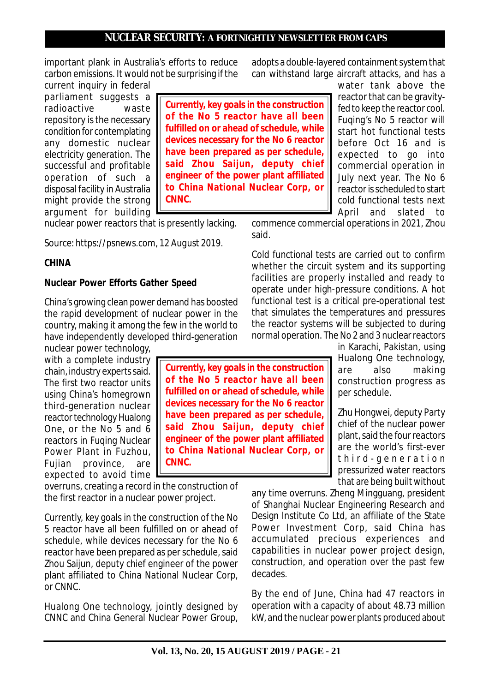important plank in Australia's efforts to reduce carbon emissions. It would not be surprising if the

current inquiry in federal parliament suggests a radioactive waste repository is the necessary condition for contemplating any domestic nuclear electricity generation. The successful and profitable operation of such a disposal facility in Australia might provide the strong argument for building

**Currently, key goals in the construction of the No 5 reactor have all been fulfilled on or ahead of schedule, while devices necessary for the No 6 reactor have been prepared as per schedule, said Zhou Saijun, deputy chief engineer of the power plant affiliated to China National Nuclear Corp, or CNNC.**

nuclear power reactors that is presently lacking.

*Source: https://psnews.com, 12 August 2019.*

#### **CHINA**

#### **Nuclear Power Efforts Gather Speed**

China's growing clean power demand has boosted the rapid development of nuclear power in the country, making it among the few in the world to have independently developed third-generation

nuclear power technology, with a complete industry chain, industry experts said. The first two reactor units using China's homegrown third-generation nuclear reactor technology Hualong One, or the No 5 and 6 reactors in Fuqing Nuclear Power Plant in Fuzhou, Fujian province, are expected to avoid time

overruns, creating a record in the construction of the first reactor in a nuclear power project.

Currently, key goals in the construction of the No 5 reactor have all been fulfilled on or ahead of schedule, while devices necessary for the No 6 reactor have been prepared as per schedule, said Zhou Saijun, deputy chief engineer of the power plant affiliated to China National Nuclear Corp, or CNNC.

Hualong One technology, jointly designed by CNNC and China General Nuclear Power Group, adopts a double-layered containment system that can withstand large aircraft attacks, and has a

> water tank above the reactor that can be gravityfed to keep the reactor cool. Fuqing's No 5 reactor will start hot functional tests before Oct 16 and is expected to go into commercial operation in July next year. The No 6 reactor is scheduled to start cold functional tests next April and slated to

commence commercial operations in 2021, Zhou said.

Cold functional tests are carried out to confirm whether the circuit system and its supporting facilities are properly installed and ready to operate under high-pressure conditions. A hot functional test is a critical pre-operational test that simulates the temperatures and pressures the reactor systems will be subjected to during normal operation. The No 2 and 3 nuclear reactors

in Karachi, Pakistan, using Hualong One technology, are also making construction progress as per schedule.

Zhu Hongwei, deputy Party chief of the nuclear power plant, said the four reactors are the world's first-ever third-generation pressurized water reactors that are being built without

any time overruns. Zheng Mingguang, president of Shanghai Nuclear Engineering Research and Design Institute Co Ltd, an affiliate of the State Power Investment Corp, said China has accumulated precious experiences and capabilities in nuclear power project design, construction, and operation over the past few decades.

By the end of June, China had 47 reactors in operation with a capacity of about 48.73 million kW, and the nuclear power plants produced about

**devices necessary for the No 6 reactor have been prepared as per schedule, said Zhou Saijun, deputy chief engineer of the power plant affiliated to China National Nuclear Corp, or CNNC.**

**Currently, key goals in the construction of the No 5 reactor have all been fulfilled on or ahead of schedule, while**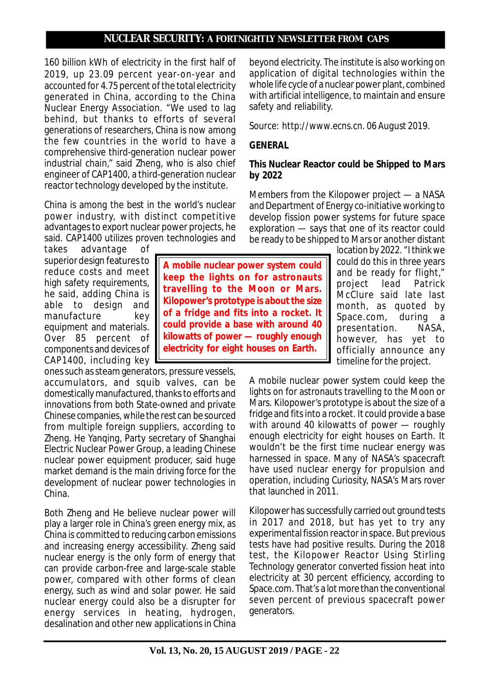160 billion kWh of electricity in the first half of 2019, up 23.09 percent year-on-year and accounted for 4.75 percent of the total electricity generated in China, according to the China Nuclear Energy Association. "We used to lag behind, but thanks to efforts of several generations of researchers, China is now among the few countries in the world to have a comprehensive third-generation nuclear power industrial chain," said Zheng, who is also chief engineer of CAP1400, a third-generation nuclear reactor technology developed by the institute.

China is among the best in the world's nuclear power industry, with distinct competitive advantages to export nuclear power projects, he said. CAP1400 utilizes proven technologies and

takes advantage of superior design features to reduce costs and meet high safety requirements, he said, adding China is able to design and manufacture key equipment and materials. Over 85 percent of components and devices of CAP1400, including key

ones such as steam generators, pressure vessels, accumulators, and squib valves, can be domestically manufactured, thanks to efforts and innovations from both State-owned and private Chinese companies, while the rest can be sourced from multiple foreign suppliers, according to Zheng. He Yanqing, Party secretary of Shanghai Electric Nuclear Power Group, a leading Chinese nuclear power equipment producer, said huge market demand is the main driving force for the development of nuclear power technologies in China.

Both Zheng and He believe nuclear power will play a larger role in China's green energy mix, as China is committed to reducing carbon emissions and increasing energy accessibility. Zheng said nuclear energy is the only form of energy that can provide carbon-free and large-scale stable power, compared with other forms of clean energy, such as wind and solar power. He said nuclear energy could also be a disrupter for energy services in heating, hydrogen, desalination and other new applications in China

**A mobile nuclear power system could keep the lights on for astronauts travelling to the Moon or Mars. Kilopower's prototype is about the size of a fridge and fits into a rocket. It could provide a base with around 40 kilowatts of power — roughly enough electricity for eight houses on Earth.**

beyond electricity. The institute is also working on application of digital technologies within the whole life cycle of a nuclear power plant, combined with artificial intelligence, to maintain and ensure safety and reliability.

*Source: http://www.ecns.cn. 06 August 2019.*

### **GENERAL**

#### **This Nuclear Reactor could be Shipped to Mars by 2022**

Members from the Kilopower project — a NASA and Department of Energy co-initiative working to develop fission power systems for future space exploration — says that one of its reactor could be ready to be shipped to Mars or another distant

> location by 2022. "I think we could do this in three years and be ready for flight," project lead Patrick McClure said late last month, as quoted by Space.com, during a presentation. NASA, however, has yet to officially announce any timeline for the project.

A mobile nuclear power system could keep the lights on for astronauts travelling to the Moon or Mars. Kilopower's prototype is about the size of a fridge and fits into a rocket. It could provide a base with around 40 kilowatts of power — roughly enough electricity for eight houses on Earth. It wouldn't be the first time nuclear energy was harnessed in space. Many of NASA's spacecraft have used nuclear energy for propulsion and operation, including Curiosity, NASA's Mars rover that launched in 2011.

Kilopower has successfully carried out ground tests in 2017 and 2018, but has yet to try any experimental fission reactor in space. But previous tests have had positive results. During the 2018 test, the Kilopower Reactor Using Stirling Technology generator converted fission heat into electricity at 30 percent efficiency, according to Space.com. That's a lot more than the conventional seven percent of previous spacecraft power generators.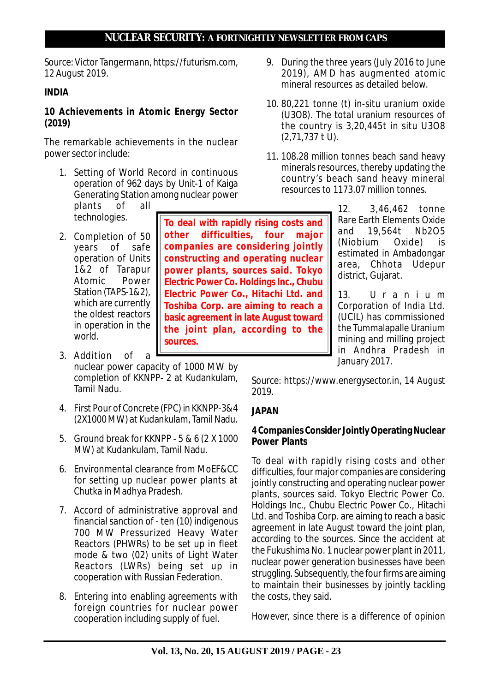*Source: Victor Tangermann, https://futurism.com, 12 August 2019.*

# **INDIA**

# **10 Achievements in Atomic Energy Sector (2019)**

The remarkable achievements in the nuclear power sector include:

- 1. Setting of World Record in continuous operation of 962 days by Unit-1 of Kaiga Generating Station among nuclear power
	- plants of all technologies.
- 2. Completion of 50 of safe operation of Units 1&2 of Tarapur Atomic Station (TAPS-1&2), which are currently the oldest reactors in operation in the world.

**To deal with rapidly rising costs and other difficulties, four major companies are considering jointly constructing and operating nuclear power plants, sources said. Tokyo Electric Power Co. Holdings Inc., Chubu Electric Power Co., Hitachi Ltd. and Toshiba Corp. are aiming to reach a basic agreement in late August toward the joint plan, according to the sources.**

- 3. Addition of a nuclear power capacity of 1000 MW by completion of KKNPP- 2 at Kudankulam, Tamil Nadu.
- 4. First Pour of Concrete (FPC) in KKNPP-3&4 (2X1000 MW) at Kudankulam, Tamil Nadu.
- 5. Ground break for KKNPP 5 & 6 (2 X 1000 MW) at Kudankulam, Tamil Nadu.
- 6. Environmental clearance from MoEF&CC for setting up nuclear power plants at Chutka in Madhya Pradesh.
- 7. Accord of administrative approval and financial sanction of - ten (10) indigenous 700 MW Pressurized Heavy Water Reactors (PHWRs) to be set up in fleet mode & two (02) units of Light Water Reactors (LWRs) being set up in cooperation with Russian Federation.
- 8. Entering into enabling agreements with foreign countries for nuclear power cooperation including supply of fuel.
- 9. During the three years (July 2016 to June 2019), AMD has augmented atomic mineral resources as detailed below.
- 10. 80,221 tonne (t) in-situ uranium oxide (U3O8). The total uranium resources of the country is 3,20,445t in situ U3O8  $(2,71,737 \text{ t U}).$
- 11. 108.28 million tonnes beach sand heavy minerals resources, thereby updating the country's beach sand heavy mineral resources to 1173.07 million tonnes.

12. 3,46,462 tonne Rare Earth Elements Oxide<br>and 19564t Nb2O5 and  $19.564t$ (Niobium Oxide) is estimated in Ambadongar area, Chhota Udepur district, Gujarat.

13. U r a n i u m Corporation of India Ltd. (UCIL) has commissioned the Tummalapalle Uranium mining and milling project in Andhra Pradesh in January 2017.

*Source: https://www.energysector.in, 14 August 2019.*

# **JAPAN**

#### **4 Companies Consider Jointly Operating Nuclear Power Plants**

To deal with rapidly rising costs and other difficulties, four major companies are considering jointly constructing and operating nuclear power plants, sources said. Tokyo Electric Power Co. Holdings Inc., Chubu Electric Power Co., Hitachi Ltd. and Toshiba Corp. are aiming to reach a basic agreement in late August toward the joint plan, according to the sources. Since the accident at the Fukushima No. 1 nuclear power plant in 2011, nuclear power generation businesses have been struggling. Subsequently, the four firms are aiming to maintain their businesses by jointly tackling the costs, they said.

However, since there is a difference of opinion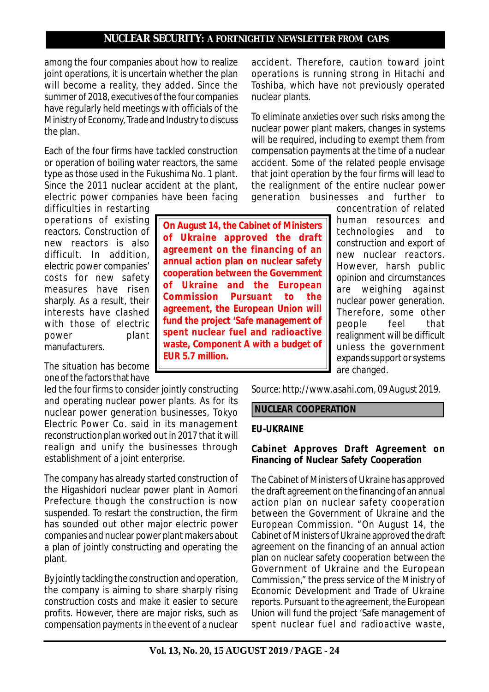among the four companies about how to realize joint operations, it is uncertain whether the plan will become a reality, they added. Since the summer of 2018, executives of the four companies have regularly held meetings with officials of the Ministry of Economy, Trade and Industry to discuss the plan.

Each of the four firms have tackled construction or operation of boiling water reactors, the same type as those used in the Fukushima No. 1 plant. Since the 2011 nuclear accident at the plant, electric power companies have been facing

difficulties in restarting operations of existing reactors. Construction of new reactors is also difficult. In addition, electric power companies' costs for new safety measures have risen sharply. As a result, their interests have clashed with those of electric power plant manufacturers.

The situation has become one of the factors that have

led the four firms to consider jointly constructing and operating nuclear power plants. As for its nuclear power generation businesses, Tokyo Electric Power Co. said in its management reconstruction plan worked out in 2017 that it will realign and unify the businesses through establishment of a joint enterprise.

The company has already started construction of the Higashidori nuclear power plant in Aomori Prefecture though the construction is now suspended. To restart the construction, the firm has sounded out other major electric power companies and nuclear power plant makers about a plan of jointly constructing and operating the plant.

By jointly tackling the construction and operation, the company is aiming to share sharply rising construction costs and make it easier to secure profits. However, there are major risks, such as compensation payments in the event of a nuclear accident. Therefore, caution toward joint operations is running strong in Hitachi and Toshiba, which have not previously operated nuclear plants.

To eliminate anxieties over such risks among the nuclear power plant makers, changes in systems will be required, including to exempt them from compensation payments at the time of a nuclear accident. Some of the related people envisage that joint operation by the four firms will lead to the realignment of the entire nuclear power generation businesses and further to

**On August 14, the Cabinet of Ministers of Ukraine approved the draft agreement on the financing of an annual action plan on nuclear safety cooperation between the Government of Ukraine and the European Commission Pursuant to the agreement, the European Union will fund the project 'Safe management of spent nuclear fuel and radioactive waste, Component A with a budget of EUR 5.7 million.**

concentration of related human resources and technologies and to construction and export of new nuclear reactors. However, harsh public opinion and circumstances are weighing against nuclear power generation. Therefore, some other people feel that realignment will be difficult unless the government expands support or systems are changed.

*Source: http://www.asahi.com, 09 August 2019.*

#### **NUCLEAR COOPERATION**

#### **EU-UKRAINE**

#### **Cabinet Approves Draft Agreement on Financing of Nuclear Safety Cooperation**

The Cabinet of Ministers of Ukraine has approved the draft agreement on the financing of an annual action plan on nuclear safety cooperation between the Government of Ukraine and the European Commission. "On August 14, the Cabinet of Ministers of Ukraine approved the draft agreement on the financing of an annual action plan on nuclear safety cooperation between the Government of Ukraine and the European Commission," the press service of the Ministry of Economic Development and Trade of Ukraine reports. Pursuant to the agreement, the European Union will fund the project 'Safe management of spent nuclear fuel and radioactive waste,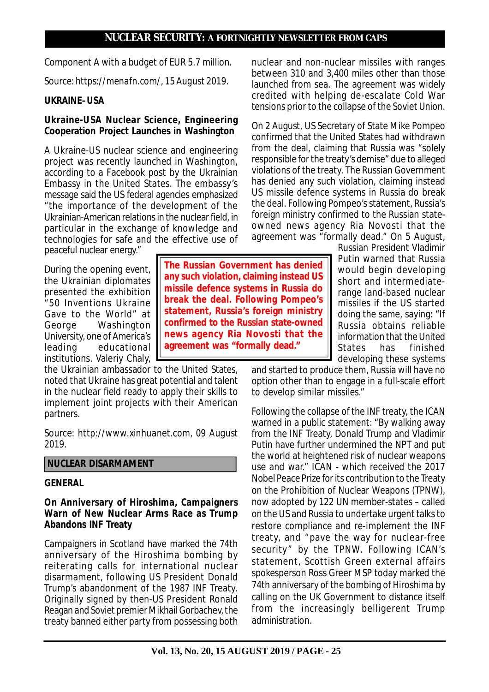Component A with a budget of EUR 5.7 million.

*Source: https://menafn.com/, 15 August 2019.*

# **UKRAINE–USA**

### **Ukraine-USA Nuclear Science, Engineering Cooperation Project Launches in Washington**

A Ukraine-US nuclear science and engineering project was recently launched in Washington, according to a Facebook post by the Ukrainian Embassy in the United States. The embassy's message said the US federal agencies emphasized "the importance of the development of the Ukrainian-American relations in the nuclear field, in particular in the exchange of knowledge and technologies for safe and the effective use of

peaceful nuclear energy."

During the opening event, the Ukrainian diplomates presented the exhibition "50 Inventions Ukraine Gave to the World" at George Washington University, one of America's leading educational institutions. Valeriy Chaly,

the Ukrainian ambassador to the United States, noted that Ukraine has great potential and talent in the nuclear field ready to apply their skills to implement joint projects with their American partners.

*Source: http://www.xinhuanet.com, 09 August 2019.*

# **NUCLEAR DISARMAMENT**

# **GENERAL**

#### **On Anniversary of Hiroshima, Campaigners Warn of New Nuclear Arms Race as Trump Abandons INF Treaty**

Campaigners in Scotland have marked the 74th anniversary of the Hiroshima bombing by reiterating calls for international nuclear disarmament, following US President Donald Trump's abandonment of the 1987 INF Treaty. Originally signed by then-US President Ronald Reagan and Soviet premier Mikhail Gorbachev, the treaty banned either party from possessing both nuclear and non-nuclear missiles with ranges between 310 and 3,400 miles other than those launched from sea. The agreement was widely credited with helping de-escalate Cold War tensions prior to the collapse of the Soviet Union.

On 2 August, US Secretary of State Mike Pompeo confirmed that the United States had withdrawn from the deal, claiming that Russia was "solely responsible for the treaty's demise" due to alleged violations of the treaty. The Russian Government has denied any such violation, claiming instead US missile defence systems in Russia do break the deal. Following Pompeo's statement, Russia's foreign ministry confirmed to the Russian stateowned news agency Ria Novosti that the agreement was "formally dead." On 5 August,

Russian President Vladimir Putin warned that Russia would begin developing short and intermediaterange land-based nuclear missiles if the US started doing the same, saying: "If Russia obtains reliable information that the United States has finished developing these systems

and started to produce them, Russia will have no option other than to engage in a full-scale effort to develop similar missiles."

Following the collapse of the INF treaty, the ICAN warned in a public statement: "By walking away from the INF Treaty, Donald Trump and Vladimir Putin have further undermined the NPT and put the world at heightened risk of nuclear weapons use and war." ICAN - which received the 2017 Nobel Peace Prize for its contribution to the Treaty on the Prohibition of Nuclear Weapons (TPNW), now adopted by 122 UN member-states – called on the US and Russia to undertake urgent talks to restore compliance and re-implement the INF treaty, and "pave the way for nuclear-free security" by the TPNW. Following ICAN's statement, Scottish Green external affairs spokesperson Ross Greer MSP today marked the 74th anniversary of the bombing of Hiroshima by calling on the UK Government to distance itself from the increasingly belligerent Trump administration.

# **The Russian Government has denied any such violation, claiming instead US missile defence systems in Russia do break the deal. Following Pompeo's statement, Russia's foreign ministry confirmed to the Russian state-owned news agency Ria Novosti that the agreement was "formally dead."**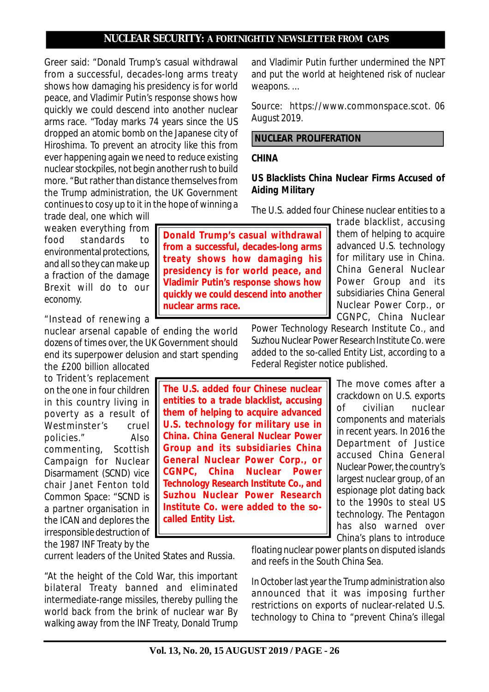Greer said: "Donald Trump's casual withdrawal from a successful, decades-long arms treaty shows how damaging his presidency is for world peace, and Vladimir Putin's response shows how quickly we could descend into another nuclear arms race. "Today marks 74 years since the US dropped an atomic bomb on the Japanese city of Hiroshima. To prevent an atrocity like this from ever happening again we need to reduce existing nuclear stockpiles, not begin another rush to build more. "But rather than distance themselves from the Trump administration, the UK Government continues to cosy up to it in the hope of winning a

trade deal, one which will weaken everything from food standards to environmental protections, and all so they can make up a fraction of the damage Brexit will do to our economy.

"Instead of renewing a

nuclear arsenal capable of ending the world dozens of times over, the UK Government should end its superpower delusion and start spending the £200 billion allocated

to Trident's replacement on the one in four children in this country living in poverty as a result of Westminster's cruel policies." Also commenting, Scottish Campaign for Nuclear Disarmament (SCND) vice chair Janet Fenton told Common Space: "SCND is a partner organisation in the ICAN and deplores the irresponsible destruction of the 1987 INF Treaty by the

**Donald Trump's casual withdrawal from a successful, decades-long arms treaty shows how damaging his presidency is for world peace, and**

**Vladimir Putin's response shows how quickly we could descend into another**

**nuclear arms race.**

and Vladimir Putin further undermined the NPT and put the world at heightened risk of nuclear weapons. ...

*Source: https://www.commonspace.scot. 06 August 2019.*

### **NUCLEAR PROLIFERATION**

#### **CHINA**

#### **US Blacklists China Nuclear Firms Accused of Aiding Military**

The U.S. added four Chinese nuclear entities to a

trade blacklist, accusing them of helping to acquire advanced U.S. technology for military use in China. China General Nuclear Power Group and its subsidiaries China General Nuclear Power Corp., or CGNPC, China Nuclear

Power Technology Research Institute Co., and Suzhou Nuclear Power Research Institute Co. were added to the so-called Entity List, according to a Federal Register notice published.

**The U.S. added four Chinese nuclear entities to a trade blacklist, accusing them of helping to acquire advanced U.S. technology for military use in China. China General Nuclear Power Group and its subsidiaries China General Nuclear Power Corp., or CGNPC, China Nuclear Power Technology Research Institute Co., and Suzhou Nuclear Power Research Institute Co. were added to the socalled Entity List.**

The move comes after a crackdown on U.S. exports of civilian nuclear components and materials in recent years. In 2016 the Department of Justice accused China General Nuclear Power, the country's largest nuclear group, of an espionage plot dating back to the 1990s to steal US technology. The Pentagon has also warned over China's plans to introduce

current leaders of the United States and Russia.

"At the height of the Cold War, this important bilateral Treaty banned and eliminated intermediate-range missiles, thereby pulling the world back from the brink of nuclear war By walking away from the INF Treaty, Donald Trump floating nuclear power plants on disputed islands and reefs in the South China Sea.

In October last year the Trump administration also announced that it was imposing further restrictions on exports of nuclear-related U.S. technology to China to "prevent China's illegal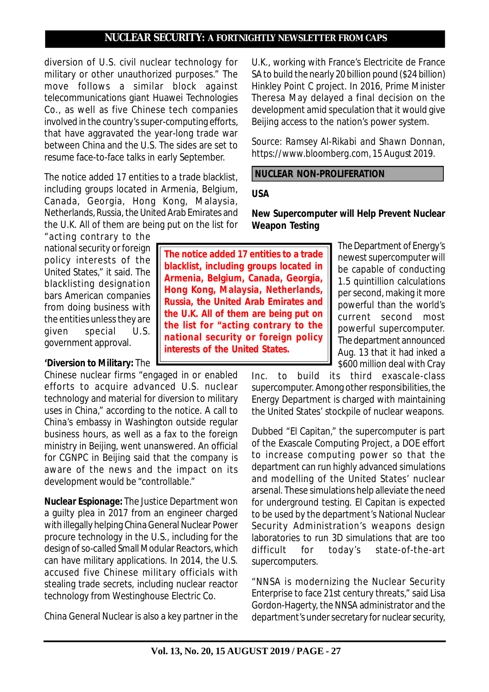diversion of U.S. civil nuclear technology for military or other unauthorized purposes." The move follows a similar block against telecommunications giant Huawei Technologies Co., as well as five Chinese tech companies involved in the country's super-computing efforts, that have aggravated the year-long trade war between China and the U.S. The sides are set to resume face-to-face talks in early September.

The notice added 17 entities to a trade blacklist, including groups located in Armenia, Belgium, Canada, Georgia, Hong Kong, Malaysia, Netherlands, Russia, the United Arab Emirates and the U.K. All of them are being put on the list for

"acting contrary to the national security or foreign policy interests of the United States," it said. The blacklisting designation bars American companies from doing business with the entities unless they are given special U.S. government approval.

# *'Diversion to Military:* The

Chinese nuclear firms "engaged in or enabled efforts to acquire advanced U.S. nuclear technology and material for diversion to military uses in China," according to the notice. A call to China's embassy in Washington outside regular business hours, as well as a fax to the foreign ministry in Beijing, went unanswered. An official for CGNPC in Beijing said that the company is aware of the news and the impact on its development would be "controllable."

*Nuclear Espionage:* The Justice Department won a guilty plea in 2017 from an engineer charged with illegally helping China General Nuclear Power procure technology in the U.S., including for the design of so-called Small Modular Reactors, which can have military applications. In 2014, the U.S. accused five Chinese military officials with stealing trade secrets, including nuclear reactor technology from Westinghouse Electric Co.

China General Nuclear is also a key partner in the

U.K., working with France's Electricite de France SA to build the nearly 20 billion pound (\$24 billion) Hinkley Point C project. In 2016, Prime Minister Theresa May delayed a final decision on the development amid speculation that it would give Beijing access to the nation's power system.

*Source: Ramsey Al-Rikabi and Shawn Donnan, https://www.bloomberg.com, 15 August 2019.*

# **NUCLEAR NON-PROLIFERATION**

#### **USA**

**New Supercomputer will Help Prevent Nuclear Weapon Testing**

**The notice added 17 entities to a trade blacklist, including groups located in Armenia, Belgium, Canada, Georgia, Hong Kong, Malaysia, Netherlands, Russia, the United Arab Emirates and the U.K. All of them are being put on the list for "acting contrary to the national security or foreign policy interests of the United States.**

The Department of Energy's newest supercomputer will be capable of conducting 1.5 quintillion calculations per second, making it more powerful than the world's current second most powerful supercomputer. The department announced Aug. 13 that it had inked a \$600 million deal with Cray

Inc. to build its third exascale-class supercomputer. Among other responsibilities, the Energy Department is charged with maintaining the United States' stockpile of nuclear weapons.

Dubbed "El Capitan," the supercomputer is part of the Exascale Computing Project, a DOE effort to increase computing power so that the department can run highly advanced simulations and modelling of the United States' nuclear arsenal. These simulations help alleviate the need for underground testing. El Capitan is expected to be used by the department's National Nuclear Security Administration's weapons design laboratories to run 3D simulations that are too difficult for today's state-of-the-art supercomputers.

"NNSA is modernizing the Nuclear Security Enterprise to face 21st century threats," said Lisa Gordon-Hagerty, the NNSA administrator and the department's under secretary for nuclear security,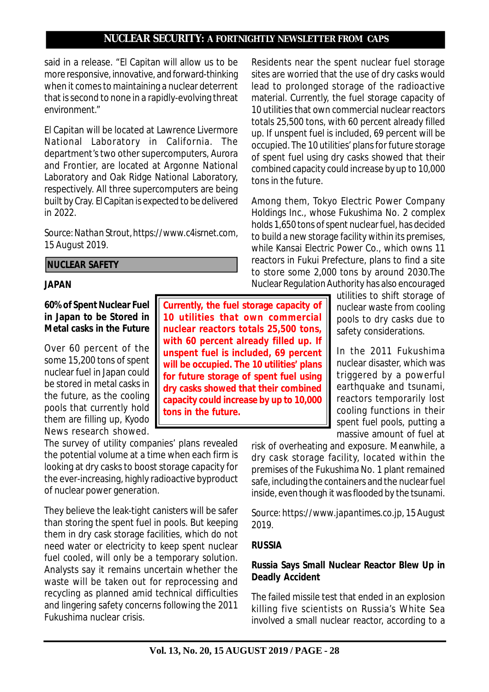said in a release. "El Capitan will allow us to be more responsive, innovative, and forward-thinking when it comes to maintaining a nuclear deterrent that is second to none in a rapidly-evolving threat environment."

El Capitan will be located at Lawrence Livermore National Laboratory in California. The department's two other supercomputers, Aurora and Frontier, are located at Argonne National Laboratory and Oak Ridge National Laboratory, respectively. All three supercomputers are being built by Cray. El Capitan is expected to be delivered in 2022.

*Source: Nathan Strout, https://www.c4isrnet.com, 15 August 2019.*

# **NUCLEAR SAFETY**

### **JAPAN**

### **60% of Spent Nuclear Fuel in Japan to be Stored in Metal casks in the Future**

Over 60 percent of the some 15,200 tons of spent nuclear fuel in Japan could be stored in metal casks in the future, as the cooling pools that currently hold them are filling up, Kyodo News research showed.

The survey of utility companies' plans revealed the potential volume at a time when each firm is looking at dry casks to boost storage capacity for the ever-increasing, highly radioactive byproduct of nuclear power generation.

They believe the leak-tight canisters will be safer than storing the spent fuel in pools. But keeping them in dry cask storage facilities, which do not need water or electricity to keep spent nuclear fuel cooled, will only be a temporary solution. Analysts say it remains uncertain whether the waste will be taken out for reprocessing and recycling as planned amid technical difficulties and lingering safety concerns following the 2011 Fukushima nuclear crisis.

**Currently, the fuel storage capacity of 10 utilities that own commercial nuclear reactors totals 25,500 tons, with 60 percent already filled up. If unspent fuel is included, 69 percent will be occupied. The 10 utilities' plans for future storage of spent fuel using dry casks showed that their combined capacity could increase by up to 10,000 tons in the future.**

Residents near the spent nuclear fuel storage sites are worried that the use of dry casks would lead to prolonged storage of the radioactive material. Currently, the fuel storage capacity of 10 utilities that own commercial nuclear reactors totals 25,500 tons, with 60 percent already filled up. If unspent fuel is included, 69 percent will be occupied. The 10 utilities' plans for future storage of spent fuel using dry casks showed that their combined capacity could increase by up to 10,000 tons in the future.

Among them, Tokyo Electric Power Company Holdings Inc., whose Fukushima No. 2 complex holds 1,650 tons of spent nuclear fuel, has decided to build a new storage facility within its premises, while Kansai Electric Power Co., which owns 11 reactors in Fukui Prefecture, plans to find a site to store some 2,000 tons by around 2030.The Nuclear Regulation Authority has also encouraged

utilities to shift storage of nuclear waste from cooling pools to dry casks due to safety considerations.

In the 2011 Fukushima nuclear disaster, which was triggered by a powerful earthquake and tsunami, reactors temporarily lost cooling functions in their spent fuel pools, putting a massive amount of fuel at

risk of overheating and exposure. Meanwhile, a dry cask storage facility, located within the premises of the Fukushima No. 1 plant remained safe, including the containers and the nuclear fuel inside, even though it was flooded by the tsunami.

*Source: https://www.japantimes.co.jp, 15 August 2019.*

#### **RUSSIA**

#### **Russia Says Small Nuclear Reactor Blew Up in Deadly Accident**

The failed missile test that ended in an explosion killing five scientists on Russia's White Sea involved a small nuclear reactor, according to a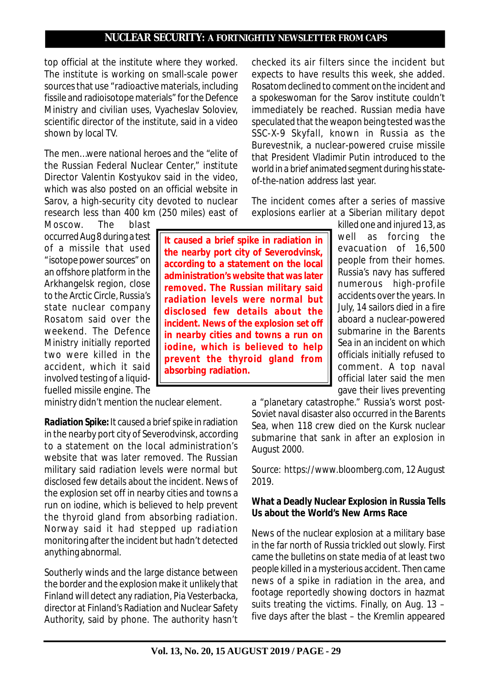top official at the institute where they worked. The institute is working on small-scale power sources that use "radioactive materials, including fissile and radioisotope materials" for the Defence Ministry and civilian uses, Vyacheslav Soloviev, scientific director of the institute, said in a video shown by local TV.

The men…were national heroes and the "elite of the Russian Federal Nuclear Center," institute Director Valentin Kostyukov said in the video, which was also posted on an official website in Sarov, a high-security city devoted to nuclear research less than 400 km (250 miles) east of

Moscow. The blast occurred Aug 8 during a test of a missile that used "isotope power sources" on an offshore platform in the Arkhangelsk region, close to the Arctic Circle, Russia's state nuclear company Rosatom said over the weekend. The Defence Ministry initially reported two were killed in the accident, which it said involved testing of a liquidfuelled missile engine. The

ministry didn't mention the nuclear element.

*Radiation Spike:*It caused a brief spike in radiation in the nearby port city of Severodvinsk, according to a statement on the local administration's website that was later removed. The Russian military said radiation levels were normal but disclosed few details about the incident. News of the explosion set off in nearby cities and towns a run on iodine, which is believed to help prevent the thyroid gland from absorbing radiation. Norway said it had stepped up radiation monitoring after the incident but hadn't detected anything abnormal.

Southerly winds and the large distance between the border and the explosion make it unlikely that Finland will detect any radiation, Pia Vesterbacka, director at Finland's Radiation and Nuclear Safety Authority, said by phone. The authority hasn't

checked its air filters since the incident but expects to have results this week, she added. Rosatom declined to comment on the incident and a spokeswoman for the Sarov institute couldn't immediately be reached. Russian media have speculated that the weapon being tested was the SSC-X-9 Skyfall, known in Russia as the Burevestnik, a nuclear-powered cruise missile that President Vladimir Putin introduced to the world in a brief animated segment during his stateof-the-nation address last year.

The incident comes after a series of massive explosions earlier at a Siberian military depot

> killed one and injured 13, as well as forcing the evacuation of 16,500 people from their homes. Russia's navy has suffered numerous high-profile accidents over the years. In July, 14 sailors died in a fire aboard a nuclear-powered submarine in the Barents Sea in an incident on which officials initially refused to comment. A top naval official later said the men gave their lives preventing

a "planetary catastrophe." Russia's worst post-Soviet naval disaster also occurred in the Barents Sea, when 118 crew died on the Kursk nuclear submarine that sank in after an explosion in August 2000.

*Source: https://www.bloomberg.com, 12 August 2019.*

# **What a Deadly Nuclear Explosion in Russia Tells Us about the World's New Arms Race**

News of the nuclear explosion at a military base in the far north of Russia trickled out slowly. First came the bulletins on state media of at least two people killed in a mysterious accident. Then came news of a spike in radiation in the area, and footage reportedly showing doctors in hazmat suits treating the victims. Finally, on Aug. 13 – five days after the blast – the Kremlin appeared

**It caused a brief spike in radiation in the nearby port city of Severodvinsk, according to a statement on the local administration's website that was later removed. The Russian military said radiation levels were normal but disclosed few details about the incident. News of the explosion set off in nearby cities and towns a run on iodine, which is believed to help prevent the thyroid gland from absorbing radiation.**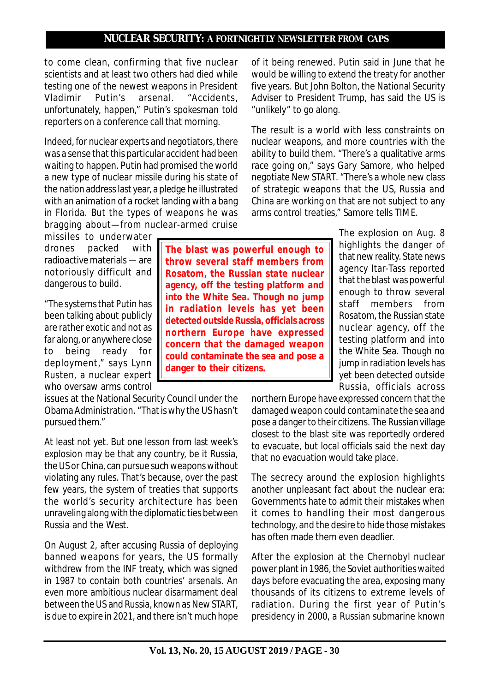to come clean, confirming that five nuclear scientists and at least two others had died while testing one of the newest weapons in President Vladimir Putin's arsenal. "Accidents, unfortunately, happen," Putin's spokesman told reporters on a conference call that morning.

Indeed, for nuclear experts and negotiators, there was a sense that this particular accident had been waiting to happen. Putin had promised the world a new type of nuclear missile during his state of the nation address last year, a pledge he illustrated with an animation of a rocket landing with a bang in Florida. But the types of weapons he was bragging about—from nuclear-armed cruise

missiles to underwater drones packed with radioactive materials — are notoriously difficult and dangerous to build.

"The systems that Putin has been talking about publicly are rather exotic and not as far along, or anywhere close to being ready for deployment," says Lynn Rusten, a nuclear expert who oversaw arms control

issues at the National Security Council under the Obama Administration. "That is why the US hasn't pursued them."

At least not yet. But one lesson from last week's explosion may be that any country, be it Russia, the US or China, can pursue such weapons without violating any rules. That's because, over the past few years, the system of treaties that supports the world's security architecture has been unraveling along with the diplomatic ties between Russia and the West.

On August 2, after accusing Russia of deploying banned weapons for years, the US formally withdrew from the INF treaty, which was signed in 1987 to contain both countries' arsenals. An even more ambitious nuclear disarmament deal between the US and Russia, known as New START, is due to expire in 2021, and there isn't much hope

**The blast was powerful enough to throw several staff members from Rosatom, the Russian state nuclear agency, off the testing platform and into the White Sea. Though no jump in radiation levels has yet been detected outside Russia, officials across northern Europe have expressed concern that the damaged weapon could contaminate the sea and pose a danger to their citizens.**

of it being renewed. Putin said in June that he would be willing to extend the treaty for another five years. But John Bolton, the National Security Adviser to President Trump, has said the US is "unlikely" to go along.

The result is a world with less constraints on nuclear weapons, and more countries with the ability to build them. "There's a qualitative arms race going on," says Gary Samore, who helped negotiate New START. "There's a whole new class of strategic weapons that the US, Russia and China are working on that are not subject to any arms control treaties," Samore tells TIME.

> The explosion on Aug. 8 highlights the danger of that new reality. State news agency Itar-Tass reported that the blast was powerful enough to throw several staff members from Rosatom, the Russian state nuclear agency, off the testing platform and into the White Sea. Though no jump in radiation levels has yet been detected outside Russia, officials across

northern Europe have expressed concern that the damaged weapon could contaminate the sea and pose a danger to their citizens. The Russian village closest to the blast site was reportedly ordered to evacuate, but local officials said the next day that no evacuation would take place.

The secrecy around the explosion highlights another unpleasant fact about the nuclear era: Governments hate to admit their mistakes when it comes to handling their most dangerous technology, and the desire to hide those mistakes has often made them even deadlier.

After the explosion at the Chernobyl nuclear power plant in 1986, the Soviet authorities waited days before evacuating the area, exposing many thousands of its citizens to extreme levels of radiation. During the first year of Putin's presidency in 2000, a Russian submarine known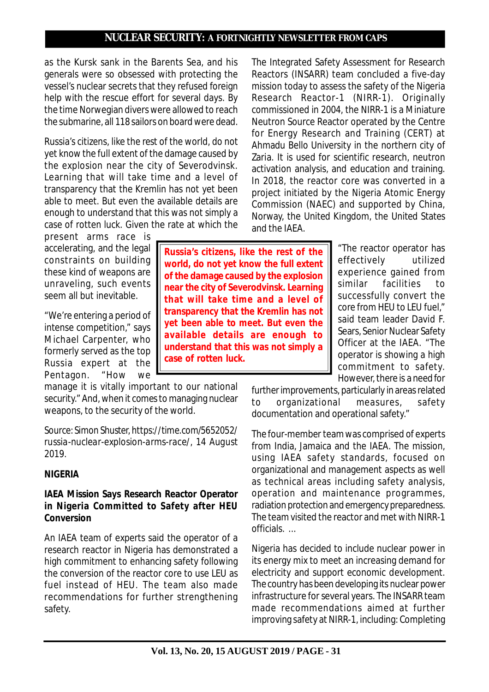**Russia's citizens, like the rest of the world, do not yet know the full extent of the damage caused by the explosion near the city of Severodvinsk. Learning that will take time and a level of transparency that the Kremlin has not yet been able to meet. But even the available details are enough to understand that this was not simply a**

**case of rotten luck.**

as the Kursk sank in the Barents Sea, and his generals were so obsessed with protecting the vessel's nuclear secrets that they refused foreign help with the rescue effort for several days. By the time Norwegian divers were allowed to reach the submarine, all 118 sailors on board were dead.

Russia's citizens, like the rest of the world, do not yet know the full extent of the damage caused by the explosion near the city of Severodvinsk. Learning that will take time and a level of transparency that the Kremlin has not yet been able to meet. But even the available details are enough to understand that this was not simply a case of rotten luck. Given the rate at which the

present arms race is accelerating, and the legal constraints on building these kind of weapons are unraveling, such events seem all but inevitable.

"We're entering a period of intense competition," says Michael Carpenter, who formerly served as the top Russia expert at the Pentagon. "How we

manage it is vitally important to our national security." And, when it comes to managing nuclear weapons, to the security of the world.

*Source: Simon Shuster, https://time.com/5652052/ russia-nuclear-explosion-arms-race/, 14 August 2019.*

# **NIGERIA**

### **IAEA Mission Says Research Reactor Operator in Nigeria Committed to Safety after HEU Conversion**

An IAEA team of experts said the operator of a research reactor in Nigeria has demonstrated a high commitment to enhancing safety following the conversion of the reactor core to use LEU as fuel instead of HEU. The team also made recommendations for further strengthening safety.

Reactors (INSARR) team concluded a five-day mission today to assess the safety of the Nigeria Research Reactor-1 (NIRR-1). Originally commissioned in 2004, the NIRR-1 is a Miniature Neutron Source Reactor operated by the Centre for Energy Research and Training (CERT) at Ahmadu Bello University in the northern city of Zaria. It is used for scientific research, neutron activation analysis, and education and training. In 2018, the reactor core was converted in a project initiated by the Nigeria Atomic Energy Commission (NAEC) and supported by China, Norway, the United Kingdom, the United States and the IAEA.

The Integrated Safety Assessment for Research

"The reactor operator has effectively utilized experience gained from similar facilities to successfully convert the core from HEU to LEU fuel," said team leader David F. Sears, Senior Nuclear Safety Officer at the IAEA. "The operator is showing a high commitment to safety. However, there is a need for

further improvements, particularly in areas related to organizational measures, safety documentation and operational safety."

The four-member team was comprised of experts from India, Jamaica and the IAEA. The mission, using IAEA safety standards, focused on organizational and management aspects as well as technical areas including safety analysis, operation and maintenance programmes, radiation protection and emergency preparedness. The team visited the reactor and met with NIRR-1 officials. ...

Nigeria has decided to include nuclear power in its energy mix to meet an increasing demand for electricity and support economic development. The country has been developing its nuclear power infrastructure for several years. The INSARR team made recommendations aimed at further improving safety at NIRR-1, including: Completing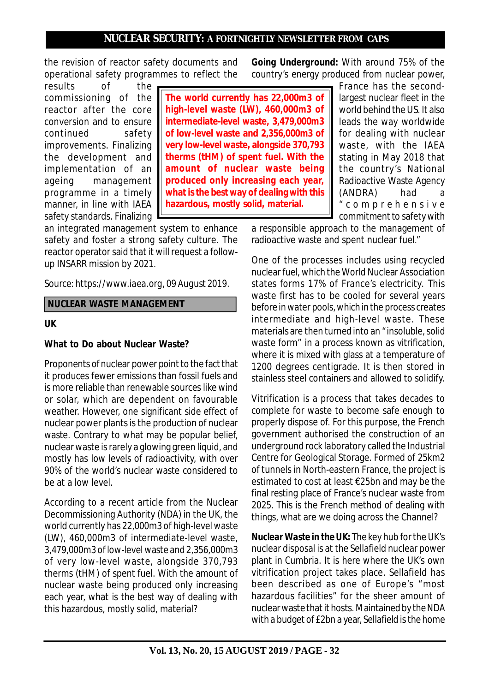the revision of reactor safety documents and operational safety programmes to reflect the

results of the commissioning of the reactor after the core conversion and to ensure continued safety improvements. Finalizing the development and implementation of an ageing management programme in a timely manner, in line with IAEA safety standards. Finalizing

**The world currently has 22,000m3 of high-level waste (LW), 460,000m3 of intermediate-level waste, 3,479,000m3 of low-level waste and 2,356,000m3 of very low-level waste, alongside 370,793 therms (tHM) of spent fuel. With the amount of nuclear waste being produced only increasing each year, what is the best way of dealing with this hazardous, mostly solid, material.**

an integrated management system to enhance safety and foster a strong safety culture. The reactor operator said that it will request a followup INSARR mission by 2021.

*Source: https://www.iaea.org, 09 August 2019.*

# **NUCLEAR WASTE MANAGEMENT**

#### **UK**

# **What to Do about Nuclear Waste?**

Proponents of nuclear power point to the fact that it produces fewer emissions than fossil fuels and is more reliable than renewable sources like wind or solar, which are dependent on favourable weather. However, one significant side effect of nuclear power plants is the production of nuclear waste. Contrary to what may be popular belief, nuclear waste is rarely a glowing green liquid, and mostly has low levels of radioactivity, with over 90% of the world's nuclear waste considered to be at a low level.

According to a recent article from the Nuclear Decommissioning Authority (NDA) in the UK, the world currently has 22,000m3 of high-level waste (LW), 460,000m3 of intermediate-level waste, 3,479,000m3 of low-level waste and 2,356,000m3 of very low-level waste, alongside 370,793 therms (tHM) of spent fuel. With the amount of nuclear waste being produced only increasing each year, what is the best way of dealing with this hazardous, mostly solid, material?

*Going Underground***:** With around 75% of the country's energy produced from nuclear power,

> France has the secondlargest nuclear fleet in the world behind the US. It also leads the way worldwide for dealing with nuclear waste, with the IAEA stating in May 2018 that the country's National Radioactive Waste Agency (ANDRA) had a " c o m p r e h e n s i v e commitment to safety with

a responsible approach to the management of radioactive waste and spent nuclear fuel."

One of the processes includes using recycled nuclear fuel, which the World Nuclear Association states forms 17% of France's electricity. This waste first has to be cooled for several years before in water pools, which in the process creates intermediate and high-level waste. These materials are then turned into an "insoluble, solid waste form" in a process known as vitrification, where it is mixed with glass at a temperature of 1200 degrees centigrade. It is then stored in stainless steel containers and allowed to solidify.

Vitrification is a process that takes decades to complete for waste to become safe enough to properly dispose of. For this purpose, the French government authorised the construction of an underground rock laboratory called the Industrial Centre for Geological Storage. Formed of 25km2 of tunnels in North-eastern France, the project is estimated to cost at least €25bn and may be the final resting place of France's nuclear waste from 2025. This is the French method of dealing with things, what are we doing across the Channel?

*Nuclear Waste in the UK***:** The key hub for the UK's nuclear disposal is at the Sellafield nuclear power plant in Cumbria. It is here where the UK's own vitrification project takes place. Sellafield has been described as one of Europe's "most hazardous facilities" for the sheer amount of nuclear waste that it hosts. Maintained by the NDA with a budget of £2bn a year, Sellafield is the home